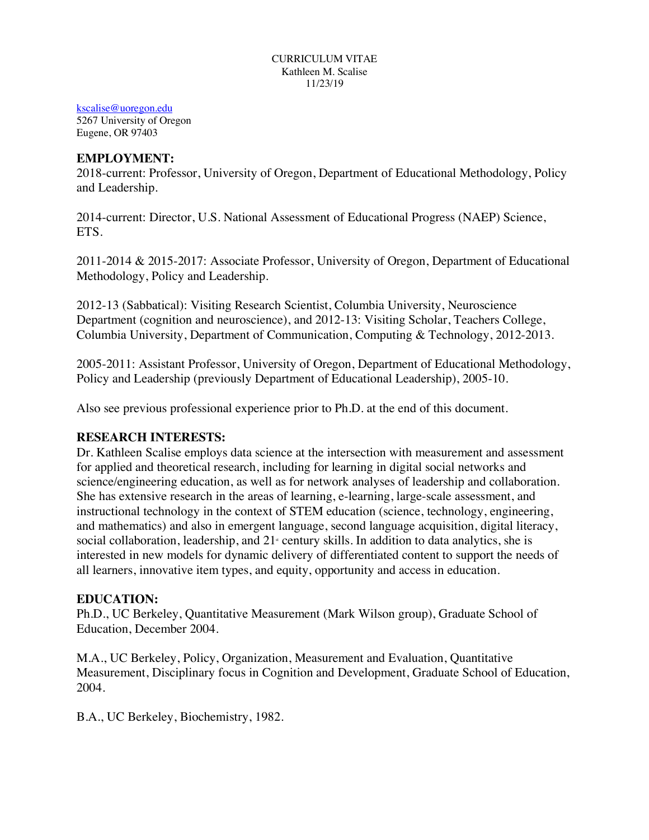#### CURRICULUM VITAE Kathleen M. Scalise 11/23/19

kscalise@uoregon.edu

5267 University of Oregon Eugene, OR 97403

#### **EMPLOYMENT:**

2018-current: Professor, University of Oregon, Department of Educational Methodology, Policy and Leadership.

2014-current: Director, U.S. National Assessment of Educational Progress (NAEP) Science, ETS.

2011-2014 & 2015-2017: Associate Professor, University of Oregon, Department of Educational Methodology, Policy and Leadership.

2012-13 (Sabbatical): Visiting Research Scientist, Columbia University, Neuroscience Department (cognition and neuroscience), and 2012-13: Visiting Scholar, Teachers College, Columbia University, Department of Communication, Computing & Technology, 2012-2013.

2005-2011: Assistant Professor, University of Oregon, Department of Educational Methodology, Policy and Leadership (previously Department of Educational Leadership), 2005-10.

Also see previous professional experience prior to Ph.D. at the end of this document.

### **RESEARCH INTERESTS:**

Dr. Kathleen Scalise employs data science at the intersection with measurement and assessment for applied and theoretical research, including for learning in digital social networks and science/engineering education, as well as for network analyses of leadership and collaboration. She has extensive research in the areas of learning, e-learning, large-scale assessment, and instructional technology in the context of STEM education (science, technology, engineering, and mathematics) and also in emergent language, second language acquisition, digital literacy, social collaboration, leadership, and  $21$ <sup>s</sup> century skills. In addition to data analytics, she is interested in new models for dynamic delivery of differentiated content to support the needs of all learners, innovative item types, and equity, opportunity and access in education.

### **EDUCATION:**

Ph.D., UC Berkeley, Quantitative Measurement (Mark Wilson group), Graduate School of Education, December 2004.

M.A., UC Berkeley, Policy, Organization, Measurement and Evaluation, Quantitative Measurement, Disciplinary focus in Cognition and Development, Graduate School of Education, 2004.

B.A., UC Berkeley, Biochemistry, 1982.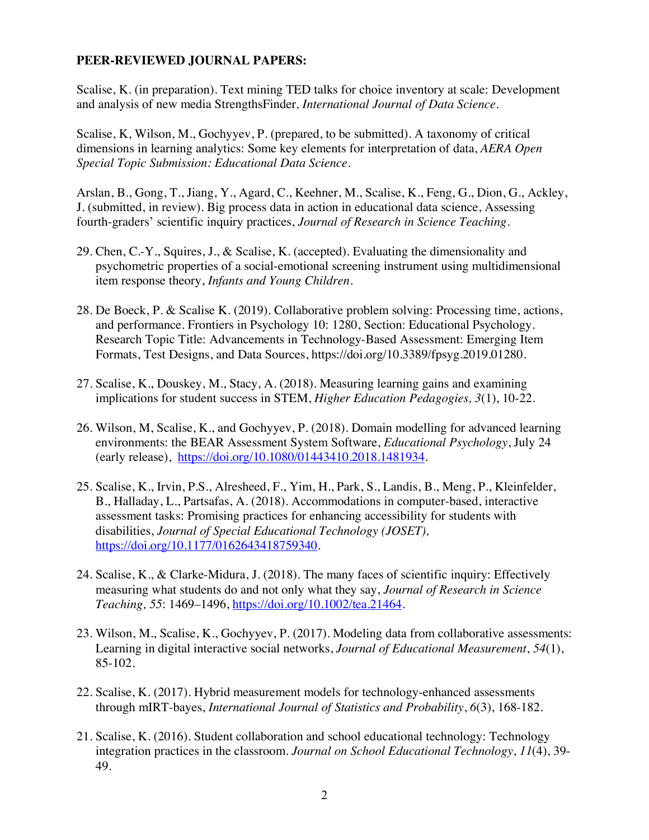### **PEER-REVIEWED JOURNAL PAPERS:**

Scalise, K. (in preparation). Text mining TED talks for choice inventory at scale: Development and analysis of new media StrengthsFinder*, International Journal of Data Science.*

Scalise, K, Wilson, M., Gochyyev, P. (prepared, to be submitted). A taxonomy of critical dimensions in learning analytics: Some key elements for interpretation of data, *AERA Open Special Topic Submission: Educational Data Science*.

Arslan, B., Gong, T., Jiang, Y., Agard, C., Keehner, M., Scalise, K., Feng, G., Dion, G., Ackley, J. (submitted, in review). Big process data in action in educational data science, Assessing fourth-graders' scientific inquiry practices, *Journal of Research in Science Teaching.*

- 29. Chen, C.-Y., Squires, J., & Scalise, K. (accepted). Evaluating the dimensionality and psychometric properties of a social-emotional screening instrument using multidimensional item response theory, *Infants and Young Children.*
- 28. De Boeck, P. & Scalise K. (2019). Collaborative problem solving: Processing time, actions, and performance. Frontiers in Psychology 10: 1280, Section: Educational Psychology. Research Topic Title: Advancements in Technology-Based Assessment: Emerging Item Formats, Test Designs, and Data Sources, https://doi.org/10.3389/fpsyg.2019.01280.
- 27. Scalise, K., Douskey, M., Stacy, A. (2018). Measuring learning gains and examining implications for student success in STEM, *Higher Education Pedagogies, 3*(1), 10-22.
- 26. Wilson, M, Scalise, K., and Gochyyev, P. (2018). Domain modelling for advanced learning environments: the BEAR Assessment System Software, *Educational Psychology*, July 24 (early release), https://doi.org/10.1080/01443410.2018.1481934.
- 25. Scalise, K., Irvin, P.S., Alresheed, F., Yim, H., Park, S., Landis, B., Meng, P., Kleinfelder, B., Halladay, L., Partsafas, A. (2018). Accommodations in computer-based, interactive assessment tasks: Promising practices for enhancing accessibility for students with disabilities, *Journal of Special Educational Technology (JOSET),*  https://doi.org/10.1177/0162643418759340.
- 24. Scalise, K., & Clarke-Midura, J. (2018). The many faces of scientific inquiry: Effectively measuring what students do and not only what they say, *Journal of Research in Science Teaching, 55*: 1469–1496, https://doi.org/10.1002/tea.21464.
- 23. Wilson, M., Scalise, K., Gochyyev, P. (2017). Modeling data from collaborative assessments: Learning in digital interactive social networks, *Journal of Educational Measurement*, *54*(1), 85-102.
- 22. Scalise, K. (2017). Hybrid measurement models for technology-enhanced assessments through mIRT-bayes, *International Journal of Statistics and Probability*, *6*(3), 168-182.
- 21. Scalise, K. (2016). Student collaboration and school educational technology: Technology integration practices in the classroom. *Journal on School Educational Technology*, *11*(4), 39- 49.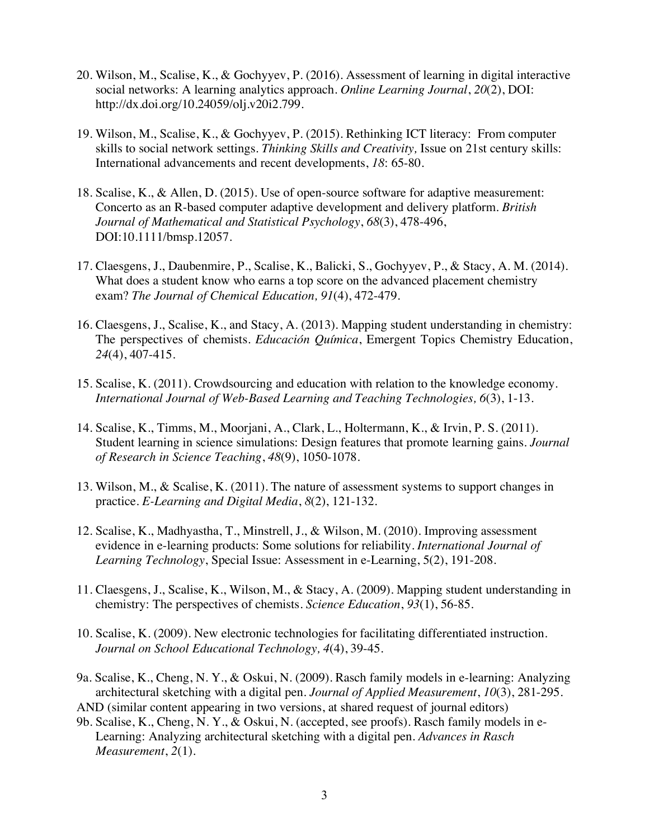- 20. Wilson, M., Scalise, K., & Gochyyev, P. (2016). Assessment of learning in digital interactive social networks: A learning analytics approach. *Online Learning Journal*, *20*(2), DOI: http://dx.doi.org/10.24059/olj.v20i2.799.
- 19. Wilson, M., Scalise, K., & Gochyyev, P. (2015). Rethinking ICT literacy: From computer skills to social network settings. *Thinking Skills and Creativity,* Issue on 21st century skills: International advancements and recent developments, *18*: 65-80.
- 18. Scalise, K., & Allen, D. (2015). Use of open-source software for adaptive measurement: Concerto as an R-based computer adaptive development and delivery platform. *British Journal of Mathematical and Statistical Psychology*, *68*(3), 478-496, DOI:10.1111/bmsp.12057.
- 17. Claesgens, J., Daubenmire, P., Scalise, K., Balicki, S., Gochyyev, P., & Stacy, A. M. (2014). What does a student know who earns a top score on the advanced placement chemistry exam? *The Journal of Chemical Education, 91*(4), 472-479.
- 16. Claesgens, J., Scalise, K., and Stacy, A. (2013). Mapping student understanding in chemistry: The perspectives of chemists. *Educación Química*, Emergent Topics Chemistry Education, *24*(4), 407-415.
- 15. Scalise, K. (2011). Crowdsourcing and education with relation to the knowledge economy. *International Journal of Web-Based Learning and Teaching Technologies, 6*(3), 1-13.
- 14. Scalise, K., Timms, M., Moorjani, A., Clark, L., Holtermann, K., & Irvin, P. S. (2011). Student learning in science simulations: Design features that promote learning gains. *Journal of Research in Science Teaching*, *48*(9), 1050-1078.
- 13. Wilson, M., & Scalise, K. (2011). The nature of assessment systems to support changes in practice. *E-Learning and Digital Media*, *8*(2), 121-132.
- 12. Scalise, K., Madhyastha, T., Minstrell, J., & Wilson, M. (2010). Improving assessment evidence in e-learning products: Some solutions for reliability. *International Journal of Learning Technology*, Special Issue: Assessment in e-Learning, 5(2), 191-208.
- 11. Claesgens, J., Scalise, K., Wilson, M., & Stacy, A. (2009). Mapping student understanding in chemistry: The perspectives of chemists. *Science Education*, *93*(1), 56-85.
- 10. Scalise, K. (2009). New electronic technologies for facilitating differentiated instruction. *Journal on School Educational Technology, 4*(4), 39-45.
- 9a. Scalise, K., Cheng, N. Y., & Oskui, N. (2009). Rasch family models in e-learning: Analyzing architectural sketching with a digital pen. *Journal of Applied Measurement*, *10*(3), 281-295. AND (similar content appearing in two versions, at shared request of journal editors)
- 9b. Scalise, K., Cheng, N. Y., & Oskui, N. (accepted, see proofs). Rasch family models in e-Learning: Analyzing architectural sketching with a digital pen. *Advances in Rasch Measurement*, *2*(1).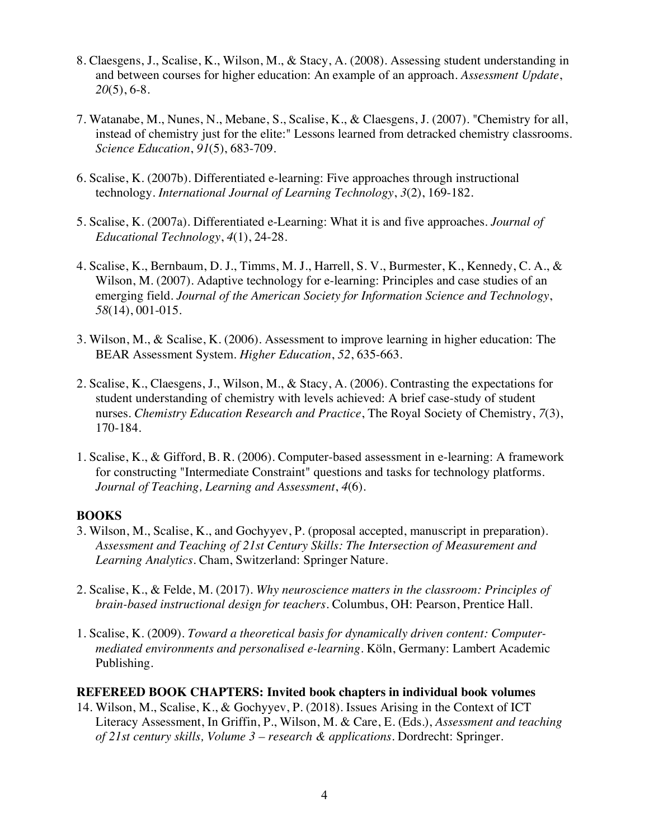- 8. Claesgens, J., Scalise, K., Wilson, M., & Stacy, A. (2008). Assessing student understanding in and between courses for higher education: An example of an approach. *Assessment Update*, *20*(5), 6-8.
- 7. Watanabe, M., Nunes, N., Mebane, S., Scalise, K., & Claesgens, J. (2007). "Chemistry for all, instead of chemistry just for the elite:" Lessons learned from detracked chemistry classrooms. *Science Education*, *91*(5), 683-709.
- 6. Scalise, K. (2007b). Differentiated e-learning: Five approaches through instructional technology. *International Journal of Learning Technology*, *3*(2), 169-182.
- 5. Scalise, K. (2007a). Differentiated e-Learning: What it is and five approaches. *Journal of Educational Technology*, *4*(1), 24-28.
- 4. Scalise, K., Bernbaum, D. J., Timms, M. J., Harrell, S. V., Burmester, K., Kennedy, C. A., & Wilson, M. (2007). Adaptive technology for e-learning: Principles and case studies of an emerging field. *Journal of the American Society for Information Science and Technology*, *58*(14), 001-015.
- 3. Wilson, M., & Scalise, K. (2006). Assessment to improve learning in higher education: The BEAR Assessment System. *Higher Education*, *52*, 635-663.
- 2. Scalise, K., Claesgens, J., Wilson, M., & Stacy, A. (2006). Contrasting the expectations for student understanding of chemistry with levels achieved: A brief case-study of student nurses. *Chemistry Education Research and Practice*, The Royal Society of Chemistry, *7*(3), 170-184.
- 1. Scalise, K., & Gifford, B. R. (2006). Computer-based assessment in e-learning: A framework for constructing "Intermediate Constraint" questions and tasks for technology platforms. *Journal of Teaching, Learning and Assessment*, *4*(6).

## **BOOKS**

- 3. Wilson, M., Scalise, K., and Gochyyev, P. (proposal accepted, manuscript in preparation). *Assessment and Teaching of 21st Century Skills: The Intersection of Measurement and Learning Analytics*. Cham, Switzerland: Springer Nature.
- 2. Scalise, K., & Felde, M. (2017). *Why neuroscience matters in the classroom: Principles of brain-based instructional design for teachers*. Columbus, OH: Pearson, Prentice Hall.
- 1. Scalise, K. (2009). *Toward a theoretical basis for dynamically driven content: Computermediated environments and personalised e-learning*. Köln, Germany: Lambert Academic Publishing.

### **REFEREED BOOK CHAPTERS: Invited book chapters in individual book volumes**

14. Wilson, M., Scalise, K., & Gochyyev, P. (2018). Issues Arising in the Context of ICT Literacy Assessment, In Griffin, P., Wilson, M. & Care, E. (Eds.), *Assessment and teaching of 21st century skills, Volume 3 – research & applications*. Dordrecht: Springer.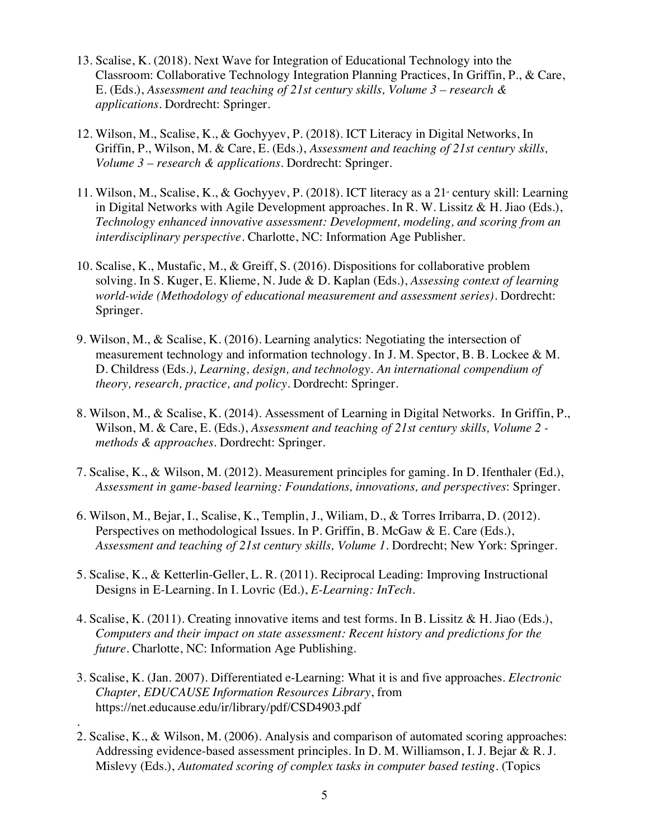- 13. Scalise, K. (2018). Next Wave for Integration of Educational Technology into the Classroom: Collaborative Technology Integration Planning Practices, In Griffin, P., & Care, E. (Eds.), *Assessment and teaching of 21st century skills, Volume 3 – research & applications*. Dordrecht: Springer.
- 12. Wilson, M., Scalise, K., & Gochyyev, P. (2018). ICT Literacy in Digital Networks, In Griffin, P., Wilson, M. & Care, E. (Eds.), *Assessment and teaching of 21st century skills, Volume 3 – research & applications*. Dordrecht: Springer.
- 11. Wilson, M., Scalise, K., & Gochyyev, P. (2018). ICT literacy as a 21<sup>*x*</sup> century skill: Learning in Digital Networks with Agile Development approaches. In R. W. Lissitz & H. Jiao (Eds.), *Technology enhanced innovative assessment: Development, modeling, and scoring from an interdisciplinary perspective*. Charlotte, NC: Information Age Publisher.
- 10. Scalise, K., Mustafic, M., & Greiff, S. (2016). Dispositions for collaborative problem solving. In S. Kuger, E. Klieme, N. Jude & D. Kaplan (Eds.), *Assessing context of learning world-wide (Methodology of educational measurement and assessment series)*. Dordrecht: Springer.
- 9. Wilson, M., & Scalise, K. (2016). Learning analytics: Negotiating the intersection of measurement technology and information technology. In J. M. Spector, B. B. Lockee  $\& M$ . D. Childress (Eds*.), Learning, design, and technology. An international compendium of theory, research, practice, and policy.* Dordrecht: Springer.
- 8. Wilson, M., & Scalise, K. (2014). Assessment of Learning in Digital Networks. In Griffin, P., Wilson, M. & Care, E. (Eds.), *Assessment and teaching of 21st century skills, Volume 2 methods & approaches*. Dordrecht: Springer.
- 7. Scalise, K., & Wilson, M. (2012). Measurement principles for gaming. In D. Ifenthaler (Ed.), *Assessment in game-based learning: Foundations, innovations, and perspectives*: Springer.
- 6. Wilson, M., Bejar, I., Scalise, K., Templin, J., Wiliam, D., & Torres Irribarra, D. (2012). Perspectives on methodological Issues. In P. Griffin, B. McGaw & E. Care (Eds.), *Assessment and teaching of 21st century skills, Volume 1*. Dordrecht; New York: Springer.
- 5. Scalise, K., & Ketterlin-Geller, L. R. (2011). Reciprocal Leading: Improving Instructional Designs in E-Learning. In I. Lovric (Ed.), *E-Learning: InTech*.
- 4. Scalise, K. (2011). Creating innovative items and test forms. In B. Lissitz & H. Jiao (Eds.), *Computers and their impact on state assessment: Recent history and predictions for the future*. Charlotte, NC: Information Age Publishing.
- 3. Scalise, K. (Jan. 2007). Differentiated e-Learning: What it is and five approaches. *Electronic Chapter, EDUCAUSE Information Resources Library*, from https://net.educause.edu/ir/library/pdf/CSD4903.pdf

.

2. Scalise, K., & Wilson, M. (2006). Analysis and comparison of automated scoring approaches: Addressing evidence-based assessment principles. In D. M. Williamson, I. J. Bejar & R. J. Mislevy (Eds.), *Automated scoring of complex tasks in computer based testing.* (Topics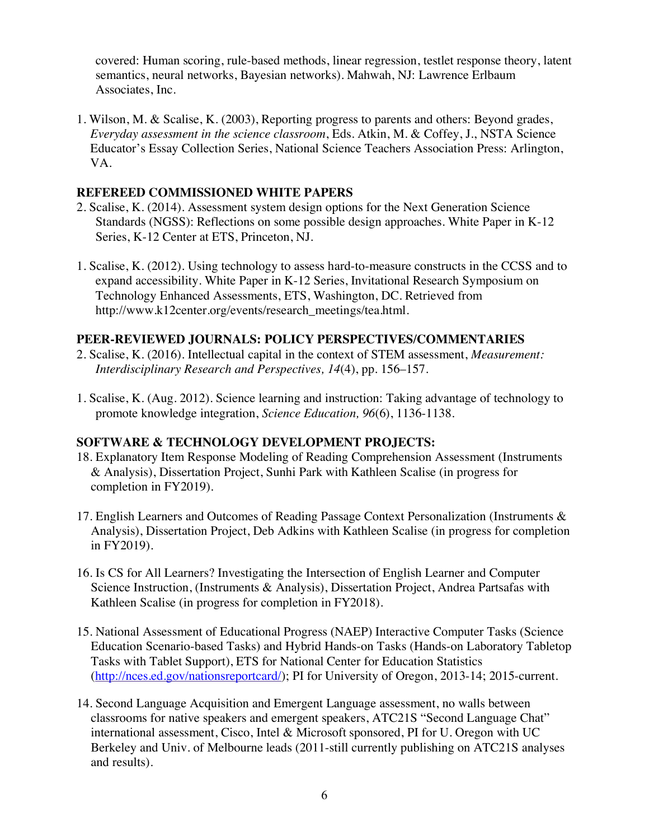covered: Human scoring, rule-based methods, linear regression, testlet response theory, latent semantics, neural networks, Bayesian networks). Mahwah, NJ: Lawrence Erlbaum Associates, Inc.

1. Wilson, M. & Scalise, K. (2003), Reporting progress to parents and others: Beyond grades, *Everyday assessment in the science classroom*, Eds. Atkin, M. & Coffey, J., NSTA Science Educator's Essay Collection Series, National Science Teachers Association Press: Arlington, VA.

## **REFEREED COMMISSIONED WHITE PAPERS**

- 2. Scalise, K. (2014). Assessment system design options for the Next Generation Science Standards (NGSS): Reflections on some possible design approaches. White Paper in K-12 Series, K-12 Center at ETS, Princeton, NJ.
- 1. Scalise, K. (2012). Using technology to assess hard-to-measure constructs in the CCSS and to expand accessibility. White Paper in K-12 Series, Invitational Research Symposium on Technology Enhanced Assessments, ETS, Washington, DC. Retrieved from http://www.k12center.org/events/research\_meetings/tea.html.

## **PEER-REVIEWED JOURNALS: POLICY PERSPECTIVES/COMMENTARIES**

- 2. Scalise, K. (2016). Intellectual capital in the context of STEM assessment, *Measurement: Interdisciplinary Research and Perspectives, 14*(4), pp. 156–157.
- 1. Scalise, K. (Aug. 2012). Science learning and instruction: Taking advantage of technology to promote knowledge integration, *Science Education, 96*(6), 1136-1138.

### **SOFTWARE & TECHNOLOGY DEVELOPMENT PROJECTS:**

- 18. Explanatory Item Response Modeling of Reading Comprehension Assessment (Instruments & Analysis), Dissertation Project, Sunhi Park with Kathleen Scalise (in progress for completion in FY2019).
- 17. English Learners and Outcomes of Reading Passage Context Personalization (Instruments & Analysis), Dissertation Project, Deb Adkins with Kathleen Scalise (in progress for completion in FY2019).
- 16. Is CS for All Learners? Investigating the Intersection of English Learner and Computer Science Instruction, (Instruments & Analysis), Dissertation Project, Andrea Partsafas with Kathleen Scalise (in progress for completion in FY2018).
- 15. National Assessment of Educational Progress (NAEP) Interactive Computer Tasks (Science Education Scenario-based Tasks) and Hybrid Hands-on Tasks (Hands-on Laboratory Tabletop Tasks with Tablet Support), ETS for National Center for Education Statistics (http://nces.ed.gov/nationsreportcard/); PI for University of Oregon, 2013-14; 2015-current.
- 14. Second Language Acquisition and Emergent Language assessment, no walls between classrooms for native speakers and emergent speakers, ATC21S "Second Language Chat" international assessment, Cisco, Intel & Microsoft sponsored, PI for U. Oregon with UC Berkeley and Univ. of Melbourne leads (2011-still currently publishing on ATC21S analyses and results).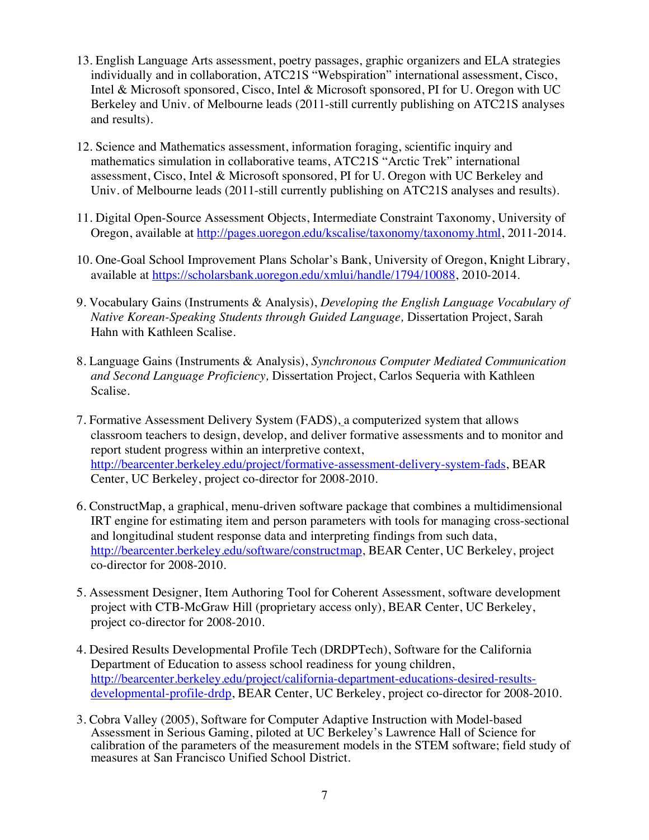- 13. English Language Arts assessment, poetry passages, graphic organizers and ELA strategies individually and in collaboration, ATC21S "Webspiration" international assessment, Cisco, Intel & Microsoft sponsored, Cisco, Intel & Microsoft sponsored, PI for U. Oregon with UC Berkeley and Univ. of Melbourne leads (2011-still currently publishing on ATC21S analyses and results).
- 12. Science and Mathematics assessment, information foraging, scientific inquiry and mathematics simulation in collaborative teams, ATC21S "Arctic Trek" international assessment, Cisco, Intel & Microsoft sponsored, PI for U. Oregon with UC Berkeley and Univ. of Melbourne leads (2011-still currently publishing on ATC21S analyses and results).
- 11. Digital Open-Source Assessment Objects, Intermediate Constraint Taxonomy, University of Oregon, available at http://pages.uoregon.edu/kscalise/taxonomy/taxonomy.html, 2011-2014.
- 10. One-Goal School Improvement Plans Scholar's Bank, University of Oregon, Knight Library, available at https://scholarsbank.uoregon.edu/xmlui/handle/1794/10088, 2010-2014.
- 9. Vocabulary Gains (Instruments & Analysis), *Developing the English Language Vocabulary of Native Korean-Speaking Students through Guided Language,* Dissertation Project, Sarah Hahn with Kathleen Scalise.
- 8. Language Gains (Instruments & Analysis), *Synchronous Computer Mediated Communication and Second Language Proficiency,* Dissertation Project, Carlos Sequeria with Kathleen Scalise.
- 7. Formative Assessment Delivery System (FADS), a computerized system that allows classroom teachers to design, develop, and deliver formative assessments and to monitor and report student progress within an interpretive context, http://bearcenter.berkeley.edu/project/formative-assessment-delivery-system-fads, BEAR Center, UC Berkeley, project co-director for 2008-2010.
- 6. ConstructMap, a graphical, menu-driven software package that combines a multidimensional IRT engine for estimating item and person parameters with tools for managing cross-sectional and longitudinal student response data and interpreting findings from such data, http://bearcenter.berkeley.edu/software/constructmap, BEAR Center, UC Berkeley, project co-director for 2008-2010.
- 5. Assessment Designer, Item Authoring Tool for Coherent Assessment, software development project with CTB-McGraw Hill (proprietary access only), BEAR Center, UC Berkeley, project co-director for 2008-2010.
- 4. Desired Results Developmental Profile Tech (DRDPTech), Software for the California Department of Education to assess school readiness for young children, http://bearcenter.berkeley.edu/project/california-department-educations-desired-resultsdevelopmental-profile-drdp, BEAR Center, UC Berkeley, project co-director for 2008-2010.
- 3. Cobra Valley (2005), Software for Computer Adaptive Instruction with Model-based Assessment in Serious Gaming, piloted at UC Berkeley's Lawrence Hall of Science for calibration of the parameters of the measurement models in the STEM software; field study of measures at San Francisco Unified School District.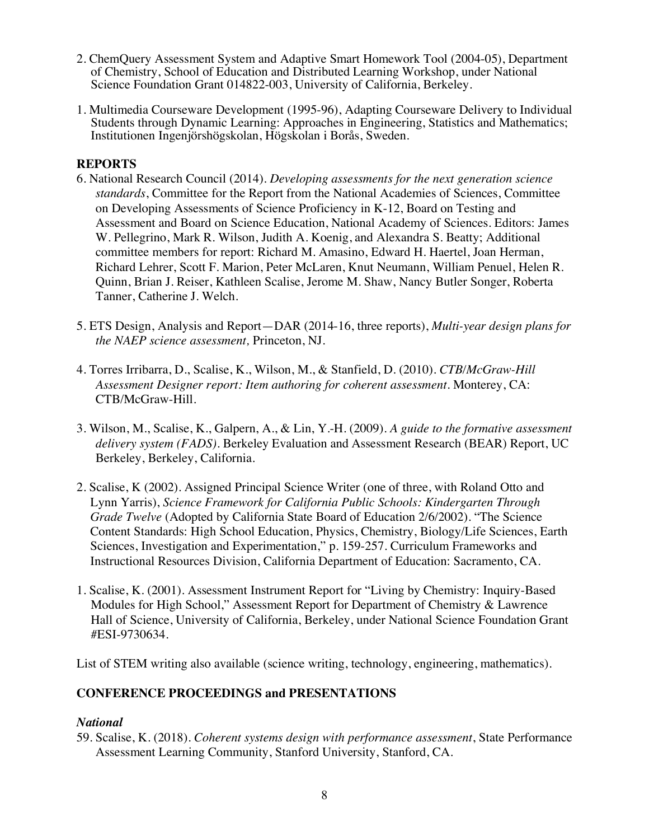- 2. ChemQuery Assessment System and Adaptive Smart Homework Tool (2004-05), Department of Chemistry, School of Education and Distributed Learning Workshop, under National Science Foundation Grant 014822-003, University of California, Berkeley.
- 1. Multimedia Courseware Development (1995-96), Adapting Courseware Delivery to Individual Students through Dynamic Learning: Approaches in Engineering, Statistics and Mathematics; Institutionen Ingenjörshögskolan, Högskolan i Borås, Sweden.

## **REPORTS**

- 6. National Research Council (2014). *Developing assessments for the next generation science standards*, Committee for the Report from the National Academies of Sciences, Committee on Developing Assessments of Science Proficiency in K-12, Board on Testing and Assessment and Board on Science Education, National Academy of Sciences. Editors: James W. Pellegrino, Mark R. Wilson, Judith A. Koenig, and Alexandra S. Beatty; Additional committee members for report: Richard M. Amasino, Edward H. Haertel, Joan Herman, Richard Lehrer, Scott F. Marion, Peter McLaren, Knut Neumann, William Penuel, Helen R. Quinn, Brian J. Reiser, Kathleen Scalise, Jerome M. Shaw, Nancy Butler Songer, Roberta Tanner, Catherine J. Welch.
- 5. ETS Design, Analysis and Report—DAR (2014-16, three reports), *Multi-year design plans for the NAEP science assessment,* Princeton, NJ.
- 4. Torres Irribarra, D., Scalise, K., Wilson, M., & Stanfield, D. (2010). *CTB/McGraw-Hill Assessment Designer report: Item authoring for coherent assessment*. Monterey, CA: CTB/McGraw-Hill.
- 3. Wilson, M., Scalise, K., Galpern, A., & Lin, Y.-H. (2009). *A guide to the formative assessment delivery system (FADS)*. Berkeley Evaluation and Assessment Research (BEAR) Report, UC Berkeley, Berkeley, California.
- 2. Scalise, K (2002). Assigned Principal Science Writer (one of three, with Roland Otto and Lynn Yarris), *Science Framework for California Public Schools: Kindergarten Through Grade Twelve* (Adopted by California State Board of Education 2/6/2002). "The Science Content Standards: High School Education, Physics, Chemistry, Biology/Life Sciences, Earth Sciences, Investigation and Experimentation," p. 159-257. Curriculum Frameworks and Instructional Resources Division, California Department of Education: Sacramento, CA.
- 1. Scalise, K. (2001). Assessment Instrument Report for "Living by Chemistry: Inquiry-Based Modules for High School," Assessment Report for Department of Chemistry & Lawrence Hall of Science, University of California, Berkeley, under National Science Foundation Grant #ESI-9730634.

List of STEM writing also available (science writing, technology, engineering, mathematics).

## **CONFERENCE PROCEEDINGS and PRESENTATIONS**

### *National*

59. Scalise, K. (2018). *Coherent systems design with performance assessment*, State Performance Assessment Learning Community, Stanford University, Stanford, CA.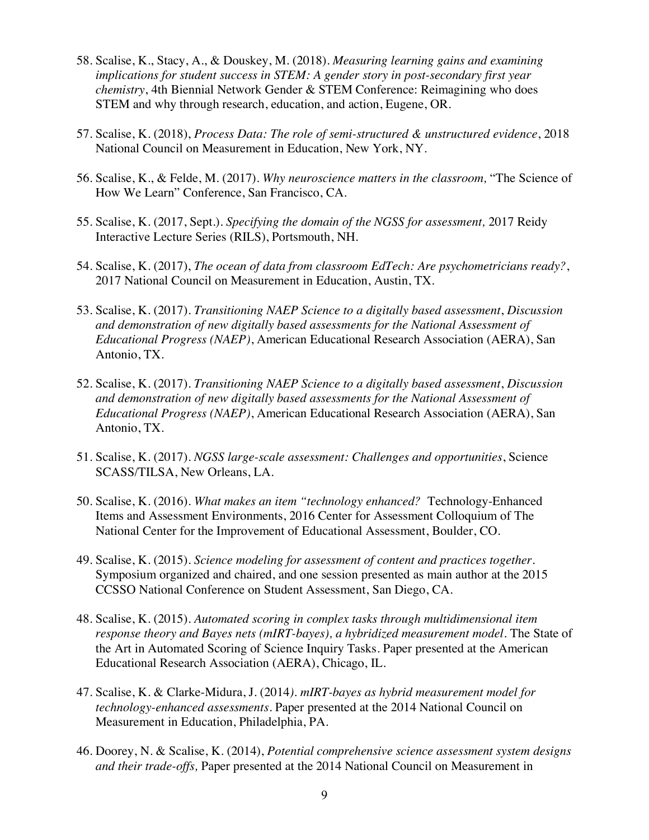- 58. Scalise, K., Stacy, A., & Douskey, M. (2018). *Measuring learning gains and examining implications for student success in STEM: A gender story in post-secondary first year chemistry*, 4th Biennial Network Gender & STEM Conference: Reimagining who does STEM and why through research, education, and action, Eugene, OR.
- 57. Scalise, K. (2018), *Process Data: The role of semi-structured & unstructured evidence*, 2018 National Council on Measurement in Education, New York, NY.
- 56. Scalise, K., & Felde, M. (2017). *Why neuroscience matters in the classroom,* "The Science of How We Learn" Conference, San Francisco, CA.
- 55. Scalise, K. (2017, Sept.). *Specifying the domain of the NGSS for assessment,* 2017 Reidy Interactive Lecture Series (RILS), Portsmouth, NH.
- 54. Scalise, K. (2017), *The ocean of data from classroom EdTech: Are psychometricians ready?*, 2017 National Council on Measurement in Education, Austin, TX.
- 53. Scalise, K. (2017). *Transitioning NAEP Science to a digitally based assessment*, *Discussion and demonstration of new digitally based assessments for the National Assessment of Educational Progress (NAEP)*, American Educational Research Association (AERA), San Antonio, TX.
- 52. Scalise, K. (2017). *Transitioning NAEP Science to a digitally based assessment*, *Discussion and demonstration of new digitally based assessments for the National Assessment of Educational Progress (NAEP)*, American Educational Research Association (AERA), San Antonio, TX.
- 51. Scalise, K. (2017). *NGSS large-scale assessment: Challenges and opportunities*, Science SCASS/TILSA, New Orleans, LA.
- 50. Scalise, K. (2016). *What makes an item "technology enhanced?* Technology-Enhanced Items and Assessment Environments, 2016 Center for Assessment Colloquium of The National Center for the Improvement of Educational Assessment, Boulder, CO.
- 49. Scalise, K. (2015). *Science modeling for assessment of content and practices together.* Symposium organized and chaired, and one session presented as main author at the 2015 CCSSO National Conference on Student Assessment, San Diego, CA.
- 48. Scalise, K. (2015). *Automated scoring in complex tasks through multidimensional item response theory and Bayes nets (mIRT-bayes), a hybridized measurement model.* The State of the Art in Automated Scoring of Science Inquiry Tasks. Paper presented at the American Educational Research Association (AERA), Chicago, IL.
- 47. Scalise, K. & Clarke-Midura, J. (2014*). mIRT-bayes as hybrid measurement model for technology-enhanced assessments*. Paper presented at the 2014 National Council on Measurement in Education, Philadelphia, PA.
- 46. Doorey, N. & Scalise, K. (2014), *Potential comprehensive science assessment system designs and their trade-offs,* Paper presented at the 2014 National Council on Measurement in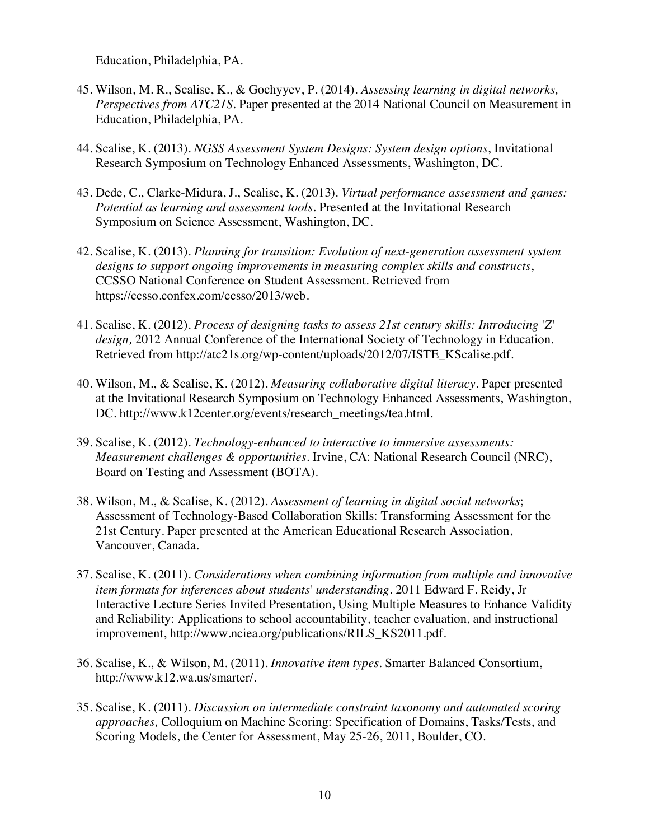Education, Philadelphia, PA.

- 45. Wilson, M. R., Scalise, K., & Gochyyev, P. (2014). *Assessing learning in digital networks, Perspectives from ATC21S*. Paper presented at the 2014 National Council on Measurement in Education, Philadelphia, PA.
- 44. Scalise, K. (2013). *NGSS Assessment System Designs: System design options*, Invitational Research Symposium on Technology Enhanced Assessments, Washington, DC.
- 43. Dede, C., Clarke-Midura, J., Scalise, K. (2013). *Virtual performance assessment and games: Potential as learning and assessment tools*. Presented at the Invitational Research Symposium on Science Assessment, Washington, DC.
- 42. Scalise, K. (2013). *Planning for transition: Evolution of next-generation assessment system designs to support ongoing improvements in measuring complex skills and constructs*, CCSSO National Conference on Student Assessment. Retrieved from https://ccsso.confex.com/ccsso/2013/web.
- 41. Scalise, K. (2012). *Process of designing tasks to assess 21st century skills: Introducing 'Z' design,* 2012 Annual Conference of the International Society of Technology in Education. Retrieved from http://atc21s.org/wp-content/uploads/2012/07/ISTE\_KScalise.pdf.
- 40. Wilson, M., & Scalise, K. (2012). *Measuring collaborative digital literacy*. Paper presented at the Invitational Research Symposium on Technology Enhanced Assessments, Washington, DC. http://www.k12center.org/events/research\_meetings/tea.html.
- 39. Scalise, K. (2012). *Technology-enhanced to interactive to immersive assessments: Measurement challenges & opportunities*. Irvine, CA: National Research Council (NRC), Board on Testing and Assessment (BOTA).
- 38. Wilson, M., & Scalise, K. (2012). *Assessment of learning in digital social networks*; Assessment of Technology-Based Collaboration Skills: Transforming Assessment for the 21st Century. Paper presented at the American Educational Research Association, Vancouver, Canada.
- 37. Scalise, K. (2011). *Considerations when combining information from multiple and innovative item formats for inferences about students' understanding*. 2011 Edward F. Reidy, Jr Interactive Lecture Series Invited Presentation, Using Multiple Measures to Enhance Validity and Reliability: Applications to school accountability, teacher evaluation, and instructional improvement, http://www.nciea.org/publications/RILS\_KS2011.pdf.
- 36. Scalise, K., & Wilson, M. (2011). *Innovative item types*. Smarter Balanced Consortium, http://www.k12.wa.us/smarter/.
- 35. Scalise, K. (2011). *Discussion on intermediate constraint taxonomy and automated scoring approaches,* Colloquium on Machine Scoring: Specification of Domains, Tasks/Tests, and Scoring Models, the Center for Assessment, May 25-26, 2011, Boulder, CO.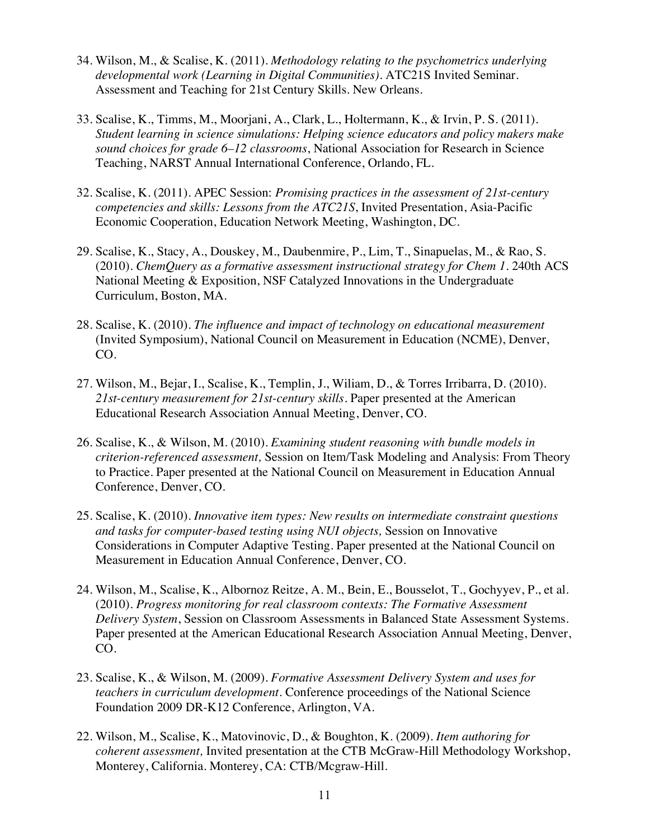- 34. Wilson, M., & Scalise, K. (2011). *Methodology relating to the psychometrics underlying developmental work (Learning in Digital Communities)*. ATC21S Invited Seminar. Assessment and Teaching for 21st Century Skills. New Orleans.
- 33. Scalise, K., Timms, M., Moorjani, A., Clark, L., Holtermann, K., & Irvin, P. S. (2011). *Student learning in science simulations: Helping science educators and policy makers make sound choices for grade 6–12 classrooms*, National Association for Research in Science Teaching, NARST Annual International Conference, Orlando, FL.
- 32. Scalise, K. (2011). APEC Session: *Promising practices in the assessment of 21st-century competencies and skills: Lessons from the ATC21S*, Invited Presentation, Asia-Pacific Economic Cooperation, Education Network Meeting, Washington, DC.
- 29. Scalise, K., Stacy, A., Douskey, M., Daubenmire, P., Lim, T., Sinapuelas, M., & Rao, S. (2010). *ChemQuery as a formative assessment instructional strategy for Chem 1*. 240th ACS National Meeting & Exposition, NSF Catalyzed Innovations in the Undergraduate Curriculum, Boston, MA.
- 28. Scalise, K. (2010). *The influence and impact of technology on educational measurement* (Invited Symposium), National Council on Measurement in Education (NCME), Denver, CO.
- 27. Wilson, M., Bejar, I., Scalise, K., Templin, J., Wiliam, D., & Torres Irribarra, D. (2010). *21st-century measurement for 21st-century skills*. Paper presented at the American Educational Research Association Annual Meeting, Denver, CO.
- 26. Scalise, K., & Wilson, M. (2010). *Examining student reasoning with bundle models in criterion-referenced assessment,* Session on Item/Task Modeling and Analysis: From Theory to Practice. Paper presented at the National Council on Measurement in Education Annual Conference, Denver, CO.
- 25. Scalise, K. (2010). *Innovative item types: New results on intermediate constraint questions and tasks for computer-based testing using NUI objects,* Session on Innovative Considerations in Computer Adaptive Testing. Paper presented at the National Council on Measurement in Education Annual Conference, Denver, CO.
- 24. Wilson, M., Scalise, K., Albornoz Reitze, A. M., Bein, E., Bousselot, T., Gochyyev, P., et al. (2010). *Progress monitoring for real classroom contexts: The Formative Assessment Delivery System*, Session on Classroom Assessments in Balanced State Assessment Systems. Paper presented at the American Educational Research Association Annual Meeting, Denver, CO.
- 23. Scalise, K., & Wilson, M. (2009). *Formative Assessment Delivery System and uses for teachers in curriculum development.* Conference proceedings of the National Science Foundation 2009 DR-K12 Conference, Arlington, VA.
- 22. Wilson, M., Scalise, K., Matovinovic, D., & Boughton, K. (2009). *Item authoring for coherent assessment,* Invited presentation at the CTB McGraw-Hill Methodology Workshop, Monterey, California. Monterey, CA: CTB/Mcgraw-Hill.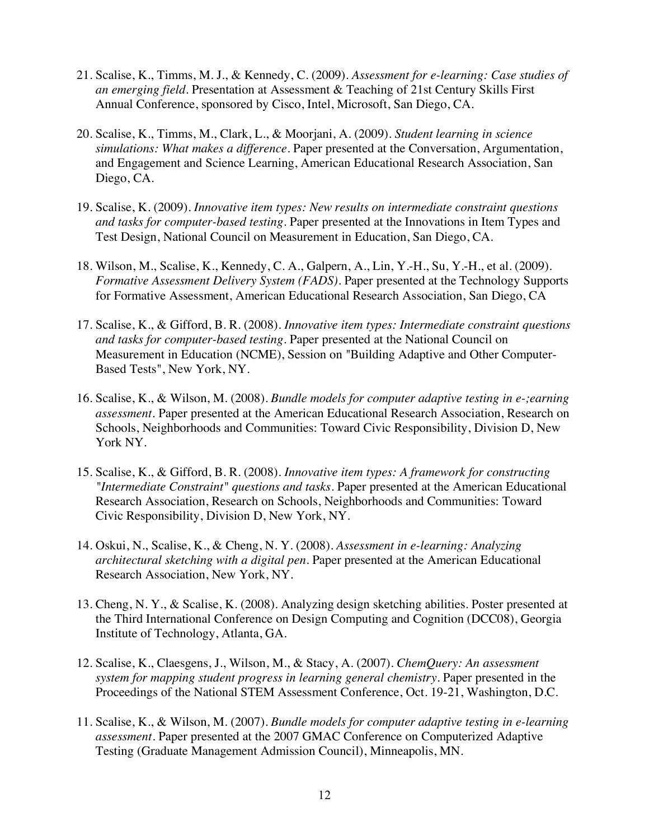- 21. Scalise, K., Timms, M. J., & Kennedy, C. (2009). *Assessment for e-learning: Case studies of an emerging field*. Presentation at Assessment & Teaching of 21st Century Skills First Annual Conference, sponsored by Cisco, Intel, Microsoft, San Diego, CA.
- 20. Scalise, K., Timms, M., Clark, L., & Moorjani, A. (2009). *Student learning in science simulations: What makes a difference*. Paper presented at the Conversation, Argumentation, and Engagement and Science Learning, American Educational Research Association, San Diego, CA.
- 19. Scalise, K. (2009). *Innovative item types: New results on intermediate constraint questions and tasks for computer-based testing*. Paper presented at the Innovations in Item Types and Test Design, National Council on Measurement in Education, San Diego, CA.
- 18. Wilson, M., Scalise, K., Kennedy, C. A., Galpern, A., Lin, Y.-H., Su, Y.-H., et al. (2009). *Formative Assessment Delivery System (FADS)*. Paper presented at the Technology Supports for Formative Assessment, American Educational Research Association, San Diego, CA
- 17. Scalise, K., & Gifford, B. R. (2008). *Innovative item types: Intermediate constraint questions and tasks for computer-based testing*. Paper presented at the National Council on Measurement in Education (NCME), Session on "Building Adaptive and Other Computer-Based Tests", New York, NY.
- 16. Scalise, K., & Wilson, M. (2008). *Bundle models for computer adaptive testing in e-;earning assessment.* Paper presented at the American Educational Research Association, Research on Schools, Neighborhoods and Communities: Toward Civic Responsibility, Division D, New York NY.
- 15. Scalise, K., & Gifford, B. R. (2008). *Innovative item types: A framework for constructing "Intermediate Constraint" questions and tasks*. Paper presented at the American Educational Research Association, Research on Schools, Neighborhoods and Communities: Toward Civic Responsibility, Division D, New York, NY.
- 14. Oskui, N., Scalise, K., & Cheng, N. Y. (2008). *Assessment in e-learning: Analyzing architectural sketching with a digital pen*. Paper presented at the American Educational Research Association, New York, NY.
- 13. Cheng, N. Y., & Scalise, K. (2008). Analyzing design sketching abilities. Poster presented at the Third International Conference on Design Computing and Cognition (DCC08), Georgia Institute of Technology, Atlanta, GA.
- 12. Scalise, K., Claesgens, J., Wilson, M., & Stacy, A. (2007). *ChemQuery: An assessment system for mapping student progress in learning general chemistry*. Paper presented in the Proceedings of the National STEM Assessment Conference, Oct. 19-21, Washington, D.C.
- 11. Scalise, K., & Wilson, M. (2007). *Bundle models for computer adaptive testing in e-learning assessment*. Paper presented at the 2007 GMAC Conference on Computerized Adaptive Testing (Graduate Management Admission Council), Minneapolis, MN.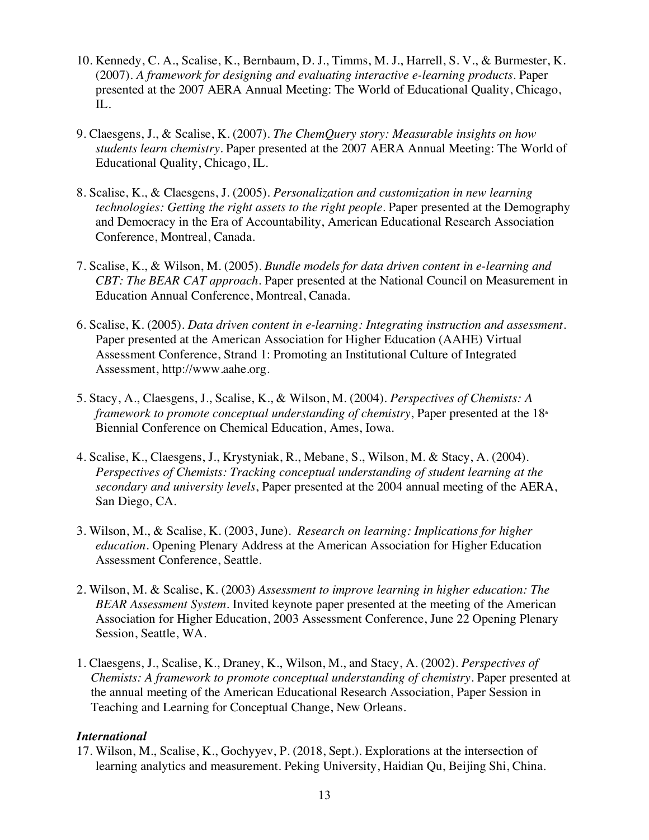- 10. Kennedy, C. A., Scalise, K., Bernbaum, D. J., Timms, M. J., Harrell, S. V., & Burmester, K. (2007). *A framework for designing and evaluating interactive e-learning products*. Paper presented at the 2007 AERA Annual Meeting: The World of Educational Quality, Chicago, IL.
- 9. Claesgens, J., & Scalise, K. (2007). *The ChemQuery story: Measurable insights on how students learn chemistry*. Paper presented at the 2007 AERA Annual Meeting: The World of Educational Quality, Chicago, IL.
- 8. Scalise, K., & Claesgens, J. (2005). *Personalization and customization in new learning technologies: Getting the right assets to the right people*. Paper presented at the Demography and Democracy in the Era of Accountability, American Educational Research Association Conference, Montreal, Canada.
- 7. Scalise, K., & Wilson, M. (2005). *Bundle models for data driven content in e-learning and CBT: The BEAR CAT approach*. Paper presented at the National Council on Measurement in Education Annual Conference, Montreal, Canada.
- 6. Scalise, K. (2005). *Data driven content in e-learning: Integrating instruction and assessment*. Paper presented at the American Association for Higher Education (AAHE) Virtual Assessment Conference, Strand 1: Promoting an Institutional Culture of Integrated Assessment, http://www.aahe.org.
- 5. Stacy, A., Claesgens, J., Scalise, K., & Wilson, M. (2004). *Perspectives of Chemists: A framework to promote conceptual understanding of chemistry*, Paper presented at the 18<sup>th</sup> Biennial Conference on Chemical Education, Ames, Iowa.
- 4. Scalise, K., Claesgens, J., Krystyniak, R., Mebane, S., Wilson, M. & Stacy, A. (2004). *Perspectives of Chemists: Tracking conceptual understanding of student learning at the secondary and university levels*, Paper presented at the 2004 annual meeting of the AERA, San Diego, CA.
- 3. Wilson, M., & Scalise, K. (2003, June). *Research on learning: Implications for higher education.* Opening Plenary Address at the American Association for Higher Education Assessment Conference, Seattle.
- 2. Wilson, M. & Scalise, K. (2003) *Assessment to improve learning in higher education: The BEAR Assessment System.* Invited keynote paper presented at the meeting of the American Association for Higher Education, 2003 Assessment Conference, June 22 Opening Plenary Session, Seattle, WA.
- 1. Claesgens, J., Scalise, K., Draney, K., Wilson, M., and Stacy, A. (2002). *Perspectives of Chemists: A framework to promote conceptual understanding of chemistry*. Paper presented at the annual meeting of the American Educational Research Association, Paper Session in Teaching and Learning for Conceptual Change, New Orleans.

### *International*

17. Wilson, M., Scalise, K., Gochyyev, P. (2018, Sept.). Explorations at the intersection of learning analytics and measurement. Peking University, Haidian Qu, Beijing Shi, China.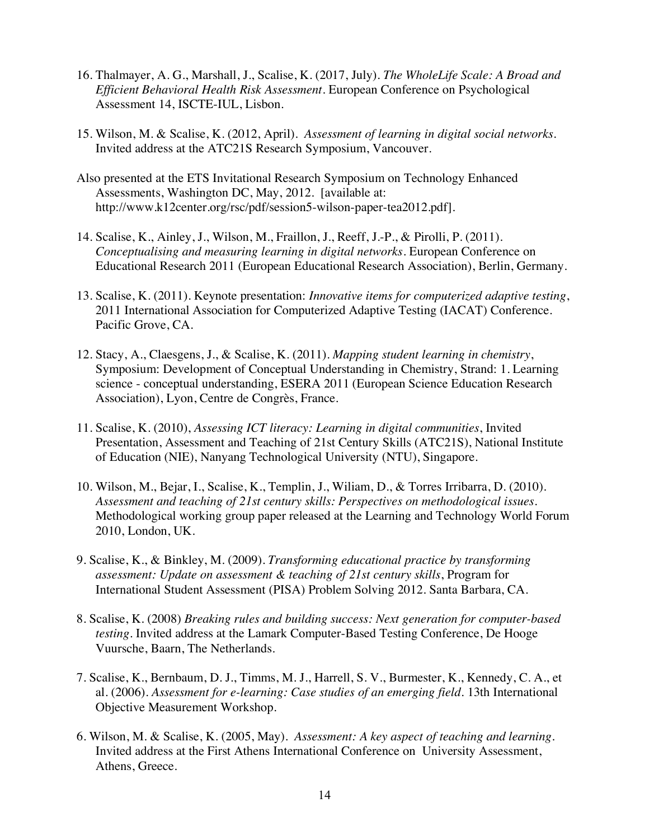- 16. Thalmayer, A. G., Marshall, J., Scalise, K. (2017, July). *The WholeLife Scale: A Broad and Efficient Behavioral Health Risk Assessment*. European Conference on Psychological Assessment 14, ISCTE-IUL, Lisbon.
- 15. Wilson, M. & Scalise, K. (2012, April). *Assessment of learning in digital social networks.* Invited address at the ATC21S Research Symposium, Vancouver.
- Also presented at the ETS Invitational Research Symposium on Technology Enhanced Assessments, Washington DC, May, 2012. [available at: http://www.k12center.org/rsc/pdf/session5-wilson-paper-tea2012.pdf].
- 14. Scalise, K., Ainley, J., Wilson, M., Fraillon, J., Reeff, J.-P., & Pirolli, P. (2011). *Conceptualising and measuring learning in digital networks*. European Conference on Educational Research 2011 (European Educational Research Association), Berlin, Germany.
- 13. Scalise, K. (2011). Keynote presentation: *Innovative items for computerized adaptive testing*, 2011 International Association for Computerized Adaptive Testing (IACAT) Conference. Pacific Grove, CA.
- 12. Stacy, A., Claesgens, J., & Scalise, K. (2011). *Mapping student learning in chemistry*, Symposium: Development of Conceptual Understanding in Chemistry, Strand: 1. Learning science - conceptual understanding, ESERA 2011 (European Science Education Research Association), Lyon, Centre de Congrès, France.
- 11. Scalise, K. (2010), *Assessing ICT literacy: Learning in digital communities*, Invited Presentation, Assessment and Teaching of 21st Century Skills (ATC21S), National Institute of Education (NIE), Nanyang Technological University (NTU), Singapore.
- 10. Wilson, M., Bejar, I., Scalise, K., Templin, J., Wiliam, D., & Torres Irribarra, D. (2010). *Assessment and teaching of 21st century skills: Perspectives on methodological issues*. Methodological working group paper released at the Learning and Technology World Forum 2010, London, UK.
- 9. Scalise, K., & Binkley, M. (2009). *Transforming educational practice by transforming assessment: Update on assessment & teaching of 21st century skills*, Program for International Student Assessment (PISA) Problem Solving 2012. Santa Barbara, CA.
- 8. Scalise, K. (2008) *Breaking rules and building success: Next generation for computer-based testing*. Invited address at the Lamark Computer-Based Testing Conference, De Hooge Vuursche, Baarn, The Netherlands.
- 7. Scalise, K., Bernbaum, D. J., Timms, M. J., Harrell, S. V., Burmester, K., Kennedy, C. A., et al. (2006). *Assessment for e-learning: Case studies of an emerging field.* 13th International Objective Measurement Workshop.
- 6. Wilson, M. & Scalise, K. (2005, May). *Assessment: A key aspect of teaching and learning.*  Invited address at the First Athens International Conference on University Assessment, Athens, Greece.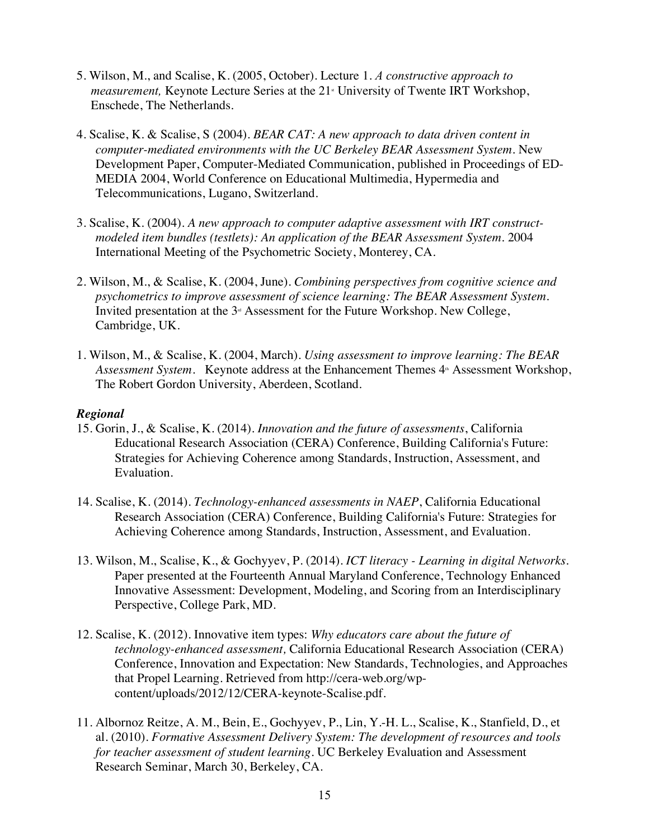- 5. Wilson, M., and Scalise, K. (2005, October). Lecture 1. *A constructive approach to measurement,* Keynote Lecture Series at the 21<sup>*\**</sup> University of Twente IRT Workshop, Enschede, The Netherlands.
- 4. Scalise, K. & Scalise, S (2004). *BEAR CAT: A new approach to data driven content in computer-mediated environments with the UC Berkeley BEAR Assessment System.* New Development Paper, Computer-Mediated Communication, published in Proceedings of ED-MEDIA 2004, World Conference on Educational Multimedia, Hypermedia and Telecommunications, Lugano, Switzerland.
- 3. Scalise, K. (2004). *A new approach to computer adaptive assessment with IRT constructmodeled item bundles (testlets): An application of the BEAR Assessment System.* 2004 International Meeting of the Psychometric Society, Monterey, CA.
- 2. Wilson, M., & Scalise, K. (2004, June). *Combining perspectives from cognitive science and psychometrics to improve assessment of science learning: The BEAR Assessment System.* Invited presentation at the  $3<sup>d</sup>$  Assessment for the Future Workshop. New College, Cambridge, UK.
- 1. Wilson, M., & Scalise, K. (2004, March). *Using assessment to improve learning: The BEAR*  Assessment System. Keynote address at the Enhancement Themes 4<sup>th</sup> Assessment Workshop, The Robert Gordon University, Aberdeen, Scotland.

### *Regional*

- 15. Gorin, J., & Scalise, K. (2014). *Innovation and the future of assessments*, California Educational Research Association (CERA) Conference, Building California's Future: Strategies for Achieving Coherence among Standards, Instruction, Assessment, and Evaluation.
- 14. Scalise, K. (2014). *Technology-enhanced assessments in NAEP*, California Educational Research Association (CERA) Conference, Building California's Future: Strategies for Achieving Coherence among Standards, Instruction, Assessment, and Evaluation.
- 13. Wilson, M., Scalise, K., & Gochyyev, P. (2014). *ICT literacy - Learning in digital Networks*. Paper presented at the Fourteenth Annual Maryland Conference, Technology Enhanced Innovative Assessment: Development, Modeling, and Scoring from an Interdisciplinary Perspective, College Park, MD.
- 12. Scalise, K. (2012). Innovative item types: *Why educators care about the future of technology-enhanced assessment,* California Educational Research Association (CERA) Conference, Innovation and Expectation: New Standards, Technologies, and Approaches that Propel Learning. Retrieved from http://cera-web.org/wpcontent/uploads/2012/12/CERA-keynote-Scalise.pdf.
- 11. Albornoz Reitze, A. M., Bein, E., Gochyyev, P., Lin, Y.-H. L., Scalise, K., Stanfield, D., et al. (2010). *Formative Assessment Delivery System: The development of resources and tools for teacher assessment of student learning*. UC Berkeley Evaluation and Assessment Research Seminar, March 30, Berkeley, CA.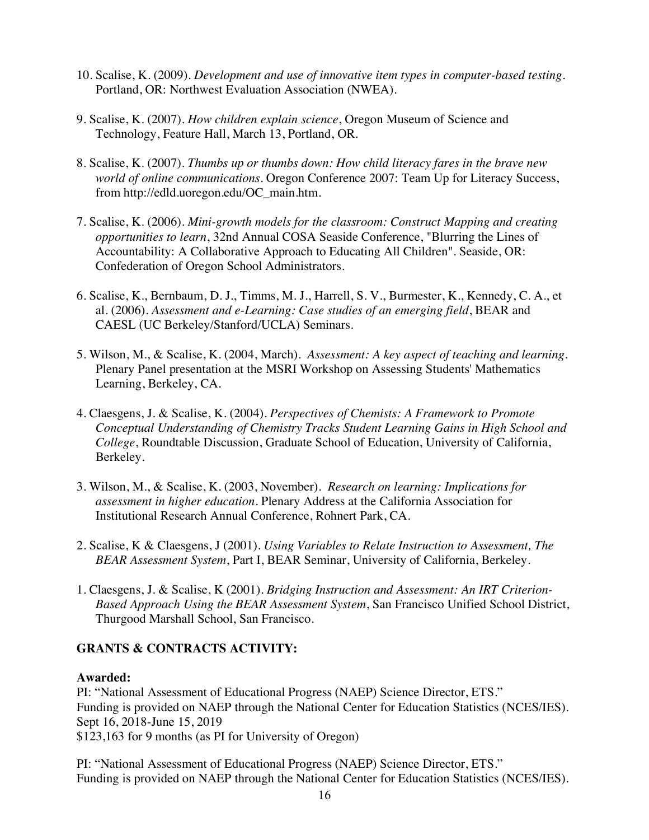- 10. Scalise, K. (2009). *Development and use of innovative item types in computer-based testing*. Portland, OR: Northwest Evaluation Association (NWEA).
- 9. Scalise, K. (2007). *How children explain science*, Oregon Museum of Science and Technology, Feature Hall, March 13, Portland, OR.
- 8. Scalise, K. (2007). *Thumbs up or thumbs down: How child literacy fares in the brave new world of online communications*. Oregon Conference 2007: Team Up for Literacy Success, from http://edld.uoregon.edu/OC\_main.htm.
- 7. Scalise, K. (2006). *Mini-growth models for the classroom: Construct Mapping and creating opportunities to learn*, 32nd Annual COSA Seaside Conference, "Blurring the Lines of Accountability: A Collaborative Approach to Educating All Children". Seaside, OR: Confederation of Oregon School Administrators.
- 6. Scalise, K., Bernbaum, D. J., Timms, M. J., Harrell, S. V., Burmester, K., Kennedy, C. A., et al. (2006). *Assessment and e-Learning: Case studies of an emerging field*, BEAR and CAESL (UC Berkeley/Stanford/UCLA) Seminars.
- 5. Wilson, M., & Scalise, K. (2004, March). *Assessment: A key aspect of teaching and learning*. Plenary Panel presentation at the MSRI Workshop on Assessing Students' Mathematics Learning, Berkeley, CA.
- 4. Claesgens, J. & Scalise, K. (2004). *Perspectives of Chemists: A Framework to Promote Conceptual Understanding of Chemistry Tracks Student Learning Gains in High School and College*, Roundtable Discussion, Graduate School of Education, University of California, Berkeley.
- 3. Wilson, M., & Scalise, K. (2003, November). *Research on learning: Implications for assessment in higher education*. Plenary Address at the California Association for Institutional Research Annual Conference, Rohnert Park, CA.
- 2. Scalise, K & Claesgens, J (2001). *Using Variables to Relate Instruction to Assessment, The BEAR Assessment System*, Part I, BEAR Seminar, University of California, Berkeley.
- 1. Claesgens, J. & Scalise, K (2001). *Bridging Instruction and Assessment: An IRT Criterion-Based Approach Using the BEAR Assessment System*, San Francisco Unified School District, Thurgood Marshall School, San Francisco.

## **GRANTS & CONTRACTS ACTIVITY:**

## **Awarded:**

PI: "National Assessment of Educational Progress (NAEP) Science Director, ETS." Funding is provided on NAEP through the National Center for Education Statistics (NCES/IES). Sept 16, 2018-June 15, 2019 \$123,163 for 9 months (as PI for University of Oregon)

PI: "National Assessment of Educational Progress (NAEP) Science Director, ETS." Funding is provided on NAEP through the National Center for Education Statistics (NCES/IES).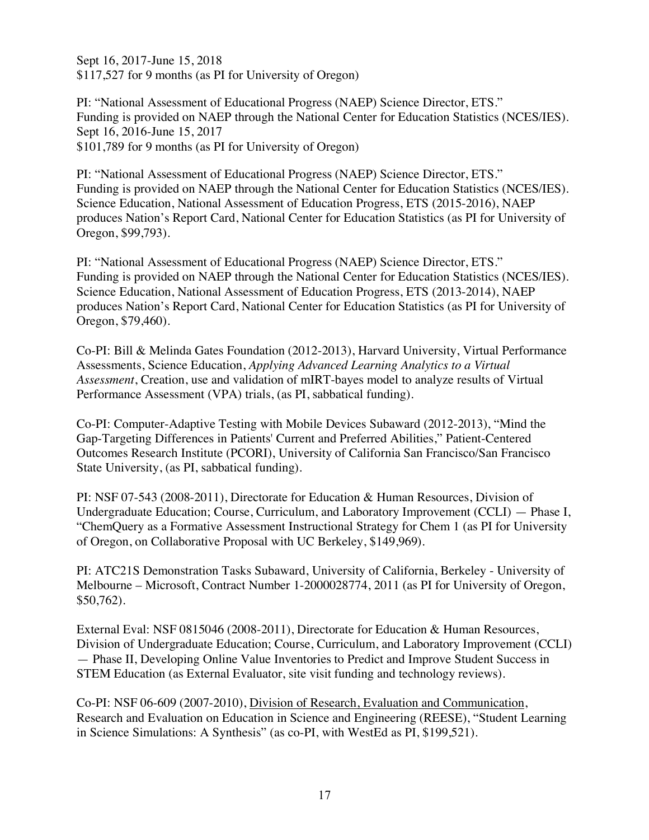Sept 16, 2017-June 15, 2018 \$117,527 for 9 months (as PI for University of Oregon)

PI: "National Assessment of Educational Progress (NAEP) Science Director, ETS." Funding is provided on NAEP through the National Center for Education Statistics (NCES/IES). Sept 16, 2016-June 15, 2017 \$101,789 for 9 months (as PI for University of Oregon)

PI: "National Assessment of Educational Progress (NAEP) Science Director, ETS." Funding is provided on NAEP through the National Center for Education Statistics (NCES/IES). Science Education, National Assessment of Education Progress, ETS (2015-2016), NAEP produces Nation's Report Card, National Center for Education Statistics (as PI for University of Oregon, \$99,793).

PI: "National Assessment of Educational Progress (NAEP) Science Director, ETS." Funding is provided on NAEP through the National Center for Education Statistics (NCES/IES). Science Education, National Assessment of Education Progress, ETS (2013-2014), NAEP produces Nation's Report Card, National Center for Education Statistics (as PI for University of Oregon, \$79,460).

Co-PI: Bill & Melinda Gates Foundation (2012-2013), Harvard University, Virtual Performance Assessments, Science Education, *Applying Advanced Learning Analytics to a Virtual Assessment*, Creation, use and validation of mIRT-bayes model to analyze results of Virtual Performance Assessment (VPA) trials, (as PI, sabbatical funding).

Co-PI: Computer-Adaptive Testing with Mobile Devices Subaward (2012-2013), "Mind the Gap-Targeting Differences in Patients' Current and Preferred Abilities," Patient-Centered Outcomes Research Institute (PCORI), University of California San Francisco/San Francisco State University, (as PI, sabbatical funding).

PI: NSF 07-543 (2008-2011), Directorate for Education & Human Resources, Division of Undergraduate Education; Course, Curriculum, and Laboratory Improvement (CCLI) — Phase I, "ChemQuery as a Formative Assessment Instructional Strategy for Chem 1 (as PI for University of Oregon, on Collaborative Proposal with UC Berkeley, \$149,969).

PI: ATC21S Demonstration Tasks Subaward, University of California, Berkeley - University of Melbourne – Microsoft, Contract Number 1-2000028774, 2011 (as PI for University of Oregon, \$50,762).

External Eval: NSF 0815046 (2008-2011), Directorate for Education & Human Resources, Division of Undergraduate Education; Course, Curriculum, and Laboratory Improvement (CCLI) — Phase II, Developing Online Value Inventories to Predict and Improve Student Success in STEM Education (as External Evaluator, site visit funding and technology reviews).

Co-PI: NSF 06-609 (2007-2010), Division of Research, Evaluation and Communication, Research and Evaluation on Education in Science and Engineering (REESE), "Student Learning in Science Simulations: A Synthesis" (as co-PI, with WestEd as PI, \$199,521).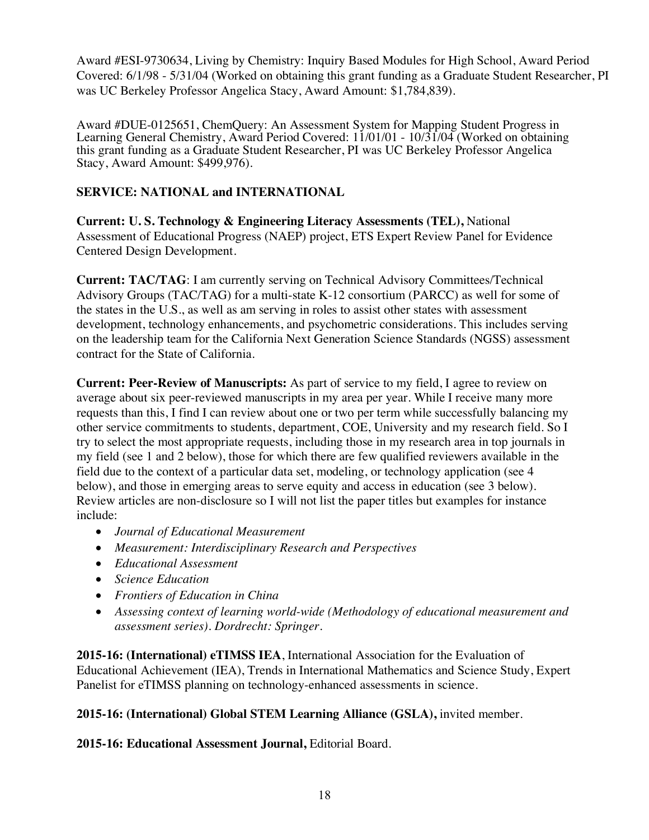Award #ESI-9730634, Living by Chemistry: Inquiry Based Modules for High School, Award Period Covered: 6/1/98 - 5/31/04 (Worked on obtaining this grant funding as a Graduate Student Researcher, PI was UC Berkeley Professor Angelica Stacy, Award Amount: \$1,784,839).

Award #DUE-0125651, ChemQuery: An Assessment System for Mapping Student Progress in Learning General Chemistry, Award Period Covered: 11/01/01 - 10/31/04 (Worked on obtaining this grant funding as a Graduate Student Researcher, PI was UC Berkeley Professor Angelica Stacy, Award Amount: \$499,976).

## **SERVICE: NATIONAL and INTERNATIONAL**

**Current: U. S. Technology & Engineering Literacy Assessments (TEL),** National Assessment of Educational Progress (NAEP) project, ETS Expert Review Panel for Evidence Centered Design Development.

**Current: TAC/TAG**: I am currently serving on Technical Advisory Committees/Technical Advisory Groups (TAC/TAG) for a multi-state K-12 consortium (PARCC) as well for some of the states in the U.S., as well as am serving in roles to assist other states with assessment development, technology enhancements, and psychometric considerations. This includes serving on the leadership team for the California Next Generation Science Standards (NGSS) assessment contract for the State of California.

**Current: Peer-Review of Manuscripts:** As part of service to my field, I agree to review on average about six peer-reviewed manuscripts in my area per year. While I receive many more requests than this, I find I can review about one or two per term while successfully balancing my other service commitments to students, department, COE, University and my research field. So I try to select the most appropriate requests, including those in my research area in top journals in my field (see 1 and 2 below), those for which there are few qualified reviewers available in the field due to the context of a particular data set, modeling, or technology application (see 4 below), and those in emerging areas to serve equity and access in education (see 3 below). Review articles are non-disclosure so I will not list the paper titles but examples for instance include:

- *Journal of Educational Measurement*
- *Measurement: Interdisciplinary Research and Perspectives*
- *Educational Assessment*
- *Science Education*
- *Frontiers of Education in China*
- *Assessing context of learning world-wide (Methodology of educational measurement and assessment series). Dordrecht: Springer.*

**2015-16: (International) eTIMSS IEA**, International Association for the Evaluation of Educational Achievement (IEA), Trends in International Mathematics and Science Study, Expert Panelist for eTIMSS planning on technology-enhanced assessments in science.

**2015-16: (International) Global STEM Learning Alliance (GSLA),** invited member.

**2015-16: Educational Assessment Journal,** Editorial Board.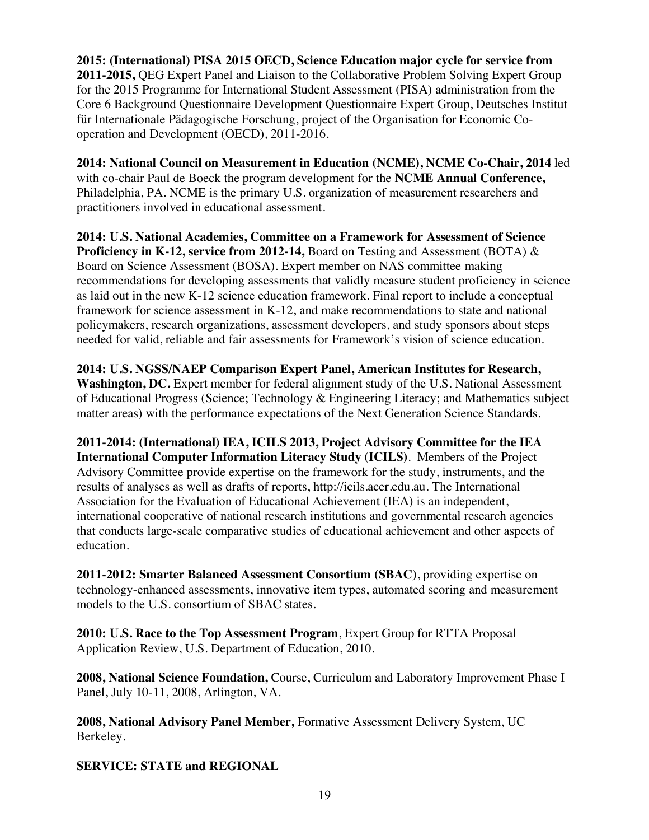**2015: (International) PISA 2015 OECD, Science Education major cycle for service from 2011-2015,** QEG Expert Panel and Liaison to the Collaborative Problem Solving Expert Group for the 2015 Programme for International Student Assessment (PISA) administration from the Core 6 Background Questionnaire Development Questionnaire Expert Group, Deutsches Institut für Internationale Pädagogische Forschung, project of the Organisation for Economic Cooperation and Development (OECD), 2011-2016.

**2014: National Council on Measurement in Education (NCME), NCME Co-Chair, 2014** led with co-chair Paul de Boeck the program development for the **NCME Annual Conference,** Philadelphia, PA. NCME is the primary U.S. organization of measurement researchers and practitioners involved in educational assessment.

**2014: U.S. National Academies, Committee on a Framework for Assessment of Science Proficiency in K-12, service from 2012-14, Board on Testing and Assessment (BOTA) &** Board on Science Assessment (BOSA). Expert member on NAS committee making recommendations for developing assessments that validly measure student proficiency in science as laid out in the new K-12 science education framework. Final report to include a conceptual framework for science assessment in K-12, and make recommendations to state and national policymakers, research organizations, assessment developers, and study sponsors about steps needed for valid, reliable and fair assessments for Framework's vision of science education.

**2014: U.S. NGSS/NAEP Comparison Expert Panel, American Institutes for Research, Washington, DC.** Expert member for federal alignment study of the U.S. National Assessment of Educational Progress (Science; Technology & Engineering Literacy; and Mathematics subject matter areas) with the performance expectations of the Next Generation Science Standards.

**2011-2014: (International) IEA, ICILS 2013, Project Advisory Committee for the IEA International Computer Information Literacy Study (ICILS)**. Members of the Project Advisory Committee provide expertise on the framework for the study, instruments, and the results of analyses as well as drafts of reports, http://icils.acer.edu.au. The International Association for the Evaluation of Educational Achievement (IEA) is an independent, international cooperative of national research institutions and governmental research agencies that conducts large-scale comparative studies of educational achievement and other aspects of education.

**2011-2012: Smarter Balanced Assessment Consortium (SBAC)**, providing expertise on technology-enhanced assessments, innovative item types, automated scoring and measurement models to the U.S. consortium of SBAC states.

**2010: U.S. Race to the Top Assessment Program**, Expert Group for RTTA Proposal Application Review, U.S. Department of Education, 2010.

**2008, National Science Foundation,** Course, Curriculum and Laboratory Improvement Phase I Panel, July 10-11, 2008, Arlington, VA.

**2008, National Advisory Panel Member,** Formative Assessment Delivery System, UC Berkeley.

**SERVICE: STATE and REGIONAL**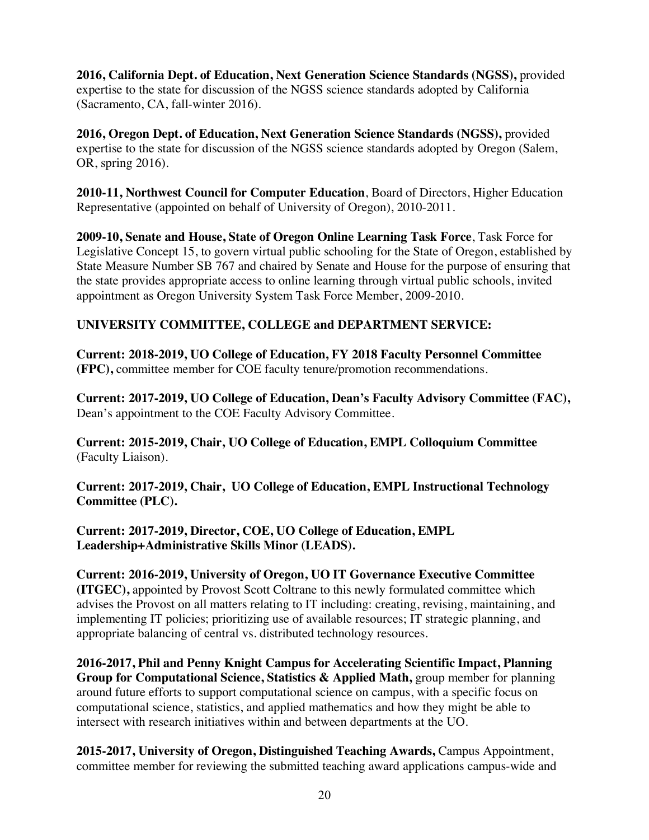**2016, California Dept. of Education, Next Generation Science Standards (NGSS),** provided expertise to the state for discussion of the NGSS science standards adopted by California (Sacramento, CA, fall-winter 2016).

**2016, Oregon Dept. of Education, Next Generation Science Standards (NGSS),** provided expertise to the state for discussion of the NGSS science standards adopted by Oregon (Salem, OR, spring 2016).

**2010-11, Northwest Council for Computer Education**, Board of Directors, Higher Education Representative (appointed on behalf of University of Oregon), 2010-2011.

**2009-10, Senate and House, State of Oregon Online Learning Task Force**, Task Force for Legislative Concept 15, to govern virtual public schooling for the State of Oregon, established by State Measure Number SB 767 and chaired by Senate and House for the purpose of ensuring that the state provides appropriate access to online learning through virtual public schools, invited appointment as Oregon University System Task Force Member, 2009-2010.

## **UNIVERSITY COMMITTEE, COLLEGE and DEPARTMENT SERVICE:**

**Current: 2018-2019, UO College of Education, FY 2018 Faculty Personnel Committee (FPC),** committee member for COE faculty tenure/promotion recommendations.

**Current: 2017-2019, UO College of Education, Dean's Faculty Advisory Committee (FAC),**  Dean's appointment to the COE Faculty Advisory Committee.

**Current: 2015-2019, Chair, UO College of Education, EMPL Colloquium Committee** (Faculty Liaison).

**Current: 2017-2019, Chair, UO College of Education, EMPL Instructional Technology Committee (PLC).**

**Current: 2017-2019, Director, COE, UO College of Education, EMPL Leadership+Administrative Skills Minor (LEADS).**

**Current: 2016-2019, University of Oregon, UO IT Governance Executive Committee (ITGEC),** appointed by Provost Scott Coltrane to this newly formulated committee which advises the Provost on all matters relating to IT including: creating, revising, maintaining, and implementing IT policies; prioritizing use of available resources; IT strategic planning, and appropriate balancing of central vs. distributed technology resources.

**2016-2017, Phil and Penny Knight Campus for Accelerating Scientific Impact, Planning Group for Computational Science, Statistics & Applied Math,** group member for planning around future efforts to support computational science on campus, with a specific focus on computational science, statistics, and applied mathematics and how they might be able to intersect with research initiatives within and between departments at the UO.

**2015-2017, University of Oregon, Distinguished Teaching Awards,** Campus Appointment, committee member for reviewing the submitted teaching award applications campus-wide and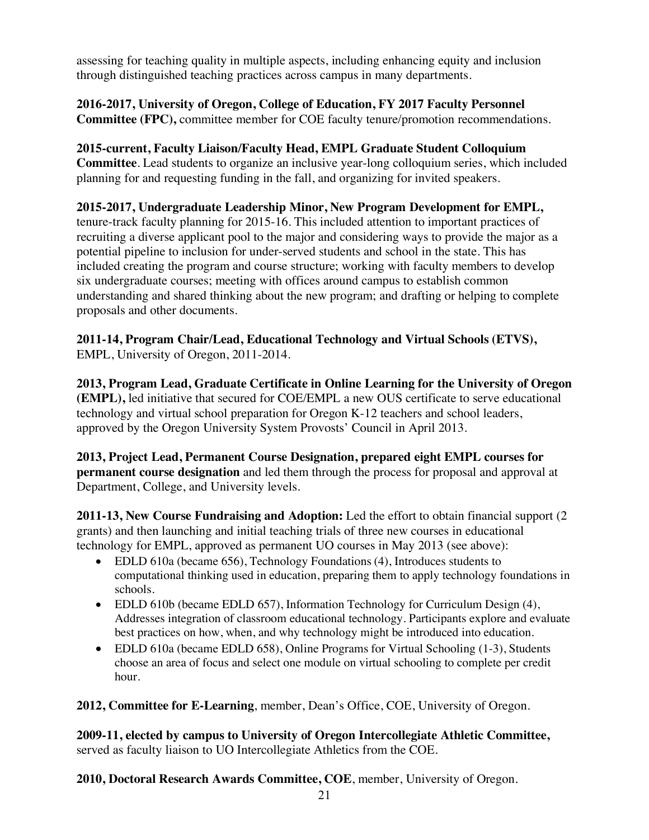assessing for teaching quality in multiple aspects, including enhancing equity and inclusion through distinguished teaching practices across campus in many departments.

## **2016-2017, University of Oregon, College of Education, FY 2017 Faculty Personnel Committee (FPC),** committee member for COE faculty tenure/promotion recommendations.

**2015-current, Faculty Liaison/Faculty Head, EMPL Graduate Student Colloquium Committee**. Lead students to organize an inclusive year-long colloquium series, which included planning for and requesting funding in the fall, and organizing for invited speakers.

**2015-2017, Undergraduate Leadership Minor, New Program Development for EMPL,** tenure-track faculty planning for 2015-16. This included attention to important practices of recruiting a diverse applicant pool to the major and considering ways to provide the major as a potential pipeline to inclusion for under-served students and school in the state. This has included creating the program and course structure; working with faculty members to develop six undergraduate courses; meeting with offices around campus to establish common understanding and shared thinking about the new program; and drafting or helping to complete

**2011-14, Program Chair/Lead, Educational Technology and Virtual Schools (ETVS),**  EMPL, University of Oregon, 2011-2014.

proposals and other documents.

**2013, Program Lead, Graduate Certificate in Online Learning for the University of Oregon (EMPL),** led initiative that secured for COE/EMPL a new OUS certificate to serve educational technology and virtual school preparation for Oregon K-12 teachers and school leaders, approved by the Oregon University System Provosts' Council in April 2013.

**2013, Project Lead, Permanent Course Designation, prepared eight EMPL courses for permanent course designation** and led them through the process for proposal and approval at Department, College, and University levels.

**2011-13, New Course Fundraising and Adoption:** Led the effort to obtain financial support (2 grants) and then launching and initial teaching trials of three new courses in educational technology for EMPL, approved as permanent UO courses in May 2013 (see above):

- EDLD 610a (became 656), Technology Foundations (4), Introduces students to computational thinking used in education, preparing them to apply technology foundations in schools.
- EDLD 610b (became EDLD 657), Information Technology for Curriculum Design (4), Addresses integration of classroom educational technology. Participants explore and evaluate best practices on how, when, and why technology might be introduced into education.
- EDLD 610a (became EDLD 658), Online Programs for Virtual Schooling (1-3), Students choose an area of focus and select one module on virtual schooling to complete per credit hour.

**2012, Committee for E-Learning**, member, Dean's Office, COE, University of Oregon.

**2009-11, elected by campus to University of Oregon Intercollegiate Athletic Committee,**  served as faculty liaison to UO Intercollegiate Athletics from the COE.

**2010, Doctoral Research Awards Committee, COE**, member, University of Oregon.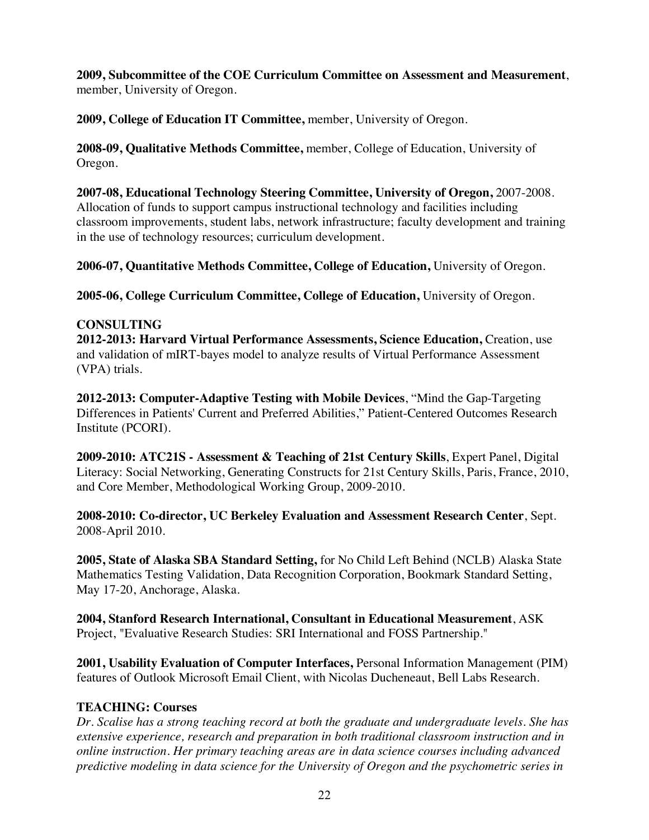**2009, Subcommittee of the COE Curriculum Committee on Assessment and Measurement**, member, University of Oregon.

**2009, College of Education IT Committee,** member, University of Oregon.

**2008-09, Qualitative Methods Committee,** member, College of Education, University of Oregon.

**2007-08, Educational Technology Steering Committee, University of Oregon,** 2007-2008. Allocation of funds to support campus instructional technology and facilities including classroom improvements, student labs, network infrastructure; faculty development and training in the use of technology resources; curriculum development.

**2006-07, Quantitative Methods Committee, College of Education,** University of Oregon.

**2005-06, College Curriculum Committee, College of Education,** University of Oregon.

## **CONSULTING**

**2012-2013: Harvard Virtual Performance Assessments, Science Education,** Creation, use and validation of mIRT-bayes model to analyze results of Virtual Performance Assessment (VPA) trials.

**2012-2013: Computer-Adaptive Testing with Mobile Devices**, "Mind the Gap-Targeting Differences in Patients' Current and Preferred Abilities," Patient-Centered Outcomes Research Institute (PCORI).

**2009-2010: ATC21S - Assessment & Teaching of 21st Century Skills**, Expert Panel, Digital Literacy: Social Networking, Generating Constructs for 21st Century Skills, Paris, France, 2010, and Core Member, Methodological Working Group, 2009-2010.

**2008-2010: Co-director, UC Berkeley Evaluation and Assessment Research Center**, Sept. 2008-April 2010.

**2005, State of Alaska SBA Standard Setting,** for No Child Left Behind (NCLB) Alaska State Mathematics Testing Validation, Data Recognition Corporation, Bookmark Standard Setting, May 17-20, Anchorage, Alaska.

**2004, Stanford Research International, Consultant in Educational Measurement**, ASK Project, "Evaluative Research Studies: SRI International and FOSS Partnership."

**2001, Usability Evaluation of Computer Interfaces,** Personal Information Management (PIM) features of Outlook Microsoft Email Client, with Nicolas Ducheneaut, Bell Labs Research.

## **TEACHING: Courses**

*Dr. Scalise has a strong teaching record at both the graduate and undergraduate levels. She has extensive experience, research and preparation in both traditional classroom instruction and in online instruction. Her primary teaching areas are in data science courses including advanced predictive modeling in data science for the University of Oregon and the psychometric series in*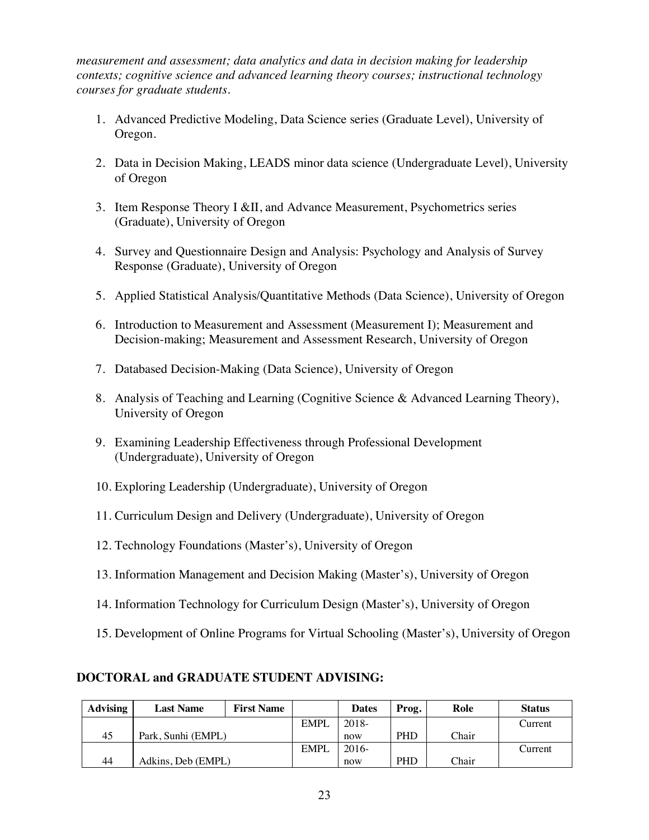*measurement and assessment; data analytics and data in decision making for leadership contexts; cognitive science and advanced learning theory courses; instructional technology courses for graduate students.*

- 1. Advanced Predictive Modeling, Data Science series (Graduate Level), University of Oregon.
- 2. Data in Decision Making, LEADS minor data science (Undergraduate Level), University of Oregon
- 3. Item Response Theory I &II, and Advance Measurement, Psychometrics series (Graduate), University of Oregon
- 4. Survey and Questionnaire Design and Analysis: Psychology and Analysis of Survey Response (Graduate), University of Oregon
- 5. Applied Statistical Analysis/Quantitative Methods (Data Science), University of Oregon
- 6. Introduction to Measurement and Assessment (Measurement I); Measurement and Decision-making; Measurement and Assessment Research, University of Oregon
- 7. Databased Decision-Making (Data Science), University of Oregon
- 8. Analysis of Teaching and Learning (Cognitive Science & Advanced Learning Theory), University of Oregon
- 9. Examining Leadership Effectiveness through Professional Development (Undergraduate), University of Oregon
- 10. Exploring Leadership (Undergraduate), University of Oregon
- 11. Curriculum Design and Delivery (Undergraduate), University of Oregon
- 12. Technology Foundations (Master's), University of Oregon
- 13. Information Management and Decision Making (Master's), University of Oregon
- 14. Information Technology for Curriculum Design (Master's), University of Oregon
- 15. Development of Online Programs for Virtual Schooling (Master's), University of Oregon

## **DOCTORAL and GRADUATE STUDENT ADVISING:**

| <b>Advising</b> | <b>Last Name</b>   | <b>First Name</b> |       | <b>Dates</b> | Prog.      | Role  | <b>Status</b> |
|-----------------|--------------------|-------------------|-------|--------------|------------|-------|---------------|
|                 |                    |                   | EMPL  | 2018-        |            |       | Current       |
| 45              | Park, Sunhi (EMPL) |                   |       | now          | <b>PHD</b> | Chair |               |
|                 |                    |                   | EMPI. | $2016-$      |            |       | Current       |
| 44              | Adkins, Deb (EMPL) |                   |       | now          | <b>PHD</b> | Chair |               |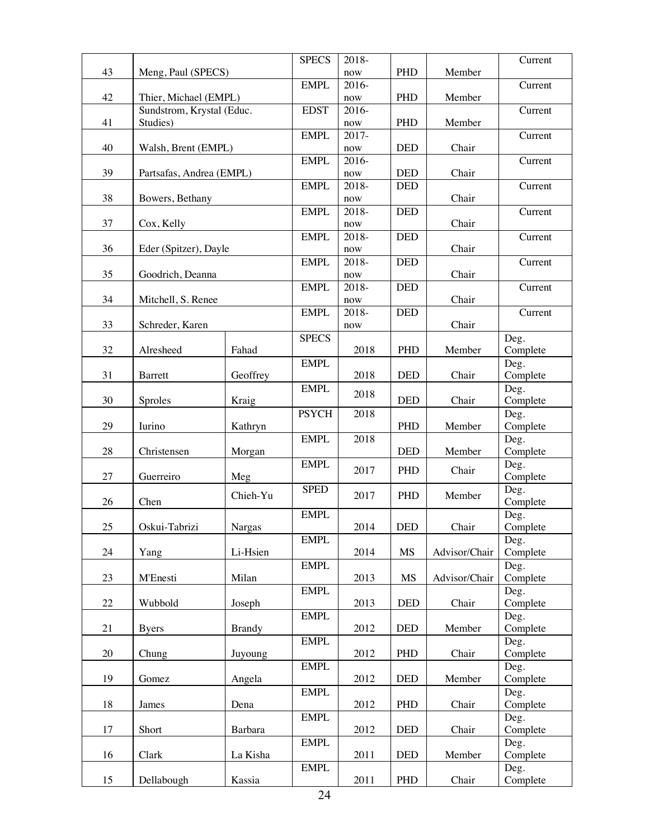|        |                               |               | <b>SPECS</b> | 2018-                |                             |               | Current  |
|--------|-------------------------------|---------------|--------------|----------------------|-----------------------------|---------------|----------|
| 43     | Meng, Paul (SPECS)            |               |              | now                  | PHD                         | Member        |          |
|        |                               |               | <b>EMPL</b>  | 2016-                |                             |               | Current  |
| 42     | Thier, Michael (EMPL)         |               |              | now                  | <b>PHD</b>                  | Member        |          |
|        | Sundstrom, Krystal (Educ.     |               | <b>EDST</b>  | 2016-                |                             |               | Current  |
| 41     | Studies)                      |               |              | now                  | <b>PHD</b>                  | Member        |          |
|        |                               |               | <b>EMPL</b>  | 2017-                |                             |               | Current  |
| 40     | Walsh, Brent (EMPL)           |               |              | now                  | <b>DED</b>                  | Chair         |          |
|        |                               |               | <b>EMPL</b>  | 2016-                |                             |               | Current  |
| 39     | Partsafas, Andrea (EMPL)      |               |              | now                  | <b>DED</b>                  | Chair         |          |
|        |                               |               | <b>EMPL</b>  | 2018-                | <b>DED</b>                  |               | Current  |
| 38     | Bowers, Bethany<br>Cox, Kelly |               |              | now                  |                             | Chair         |          |
|        |                               |               | <b>EMPL</b>  | 2018-                | <b>DED</b>                  |               | Current  |
| 37     |                               |               |              | now                  |                             | Chair         |          |
|        |                               |               | <b>EMPL</b>  | 2018-                | <b>DED</b>                  |               | Current  |
| 36     | Eder (Spitzer), Dayle         |               |              | $\operatorname{now}$ |                             | Chair         |          |
|        |                               |               | <b>EMPL</b>  | 2018-                | <b>DED</b>                  |               | Current  |
| 35     | Goodrich, Deanna              |               |              | now                  |                             | Chair         |          |
|        |                               |               | <b>EMPL</b>  | 2018-                | <b>DED</b>                  |               | Current  |
| 34     | Mitchell, S. Renee            |               |              | now                  |                             | Chair         |          |
|        |                               |               | <b>EMPL</b>  | 2018-                | <b>DED</b>                  |               | Current  |
| 33     | Schreder, Karen               |               |              | now                  |                             | Chair         |          |
|        |                               |               | <b>SPECS</b> |                      |                             |               | Deg.     |
| 32     | Alresheed                     | Fahad         |              | 2018                 | PHD                         | Member        | Complete |
|        |                               |               | <b>EMPL</b>  |                      |                             |               | Deg.     |
| 31     | <b>Barrett</b>                | Geoffrey      |              | 2018                 | <b>DED</b>                  | Chair         | Complete |
|        |                               |               | <b>EMPL</b>  |                      |                             |               | Deg.     |
| 30     | Sproles                       | Kraig         |              | 2018                 | <b>DED</b>                  | Chair         | Complete |
|        |                               |               | <b>PSYCH</b> | 2018                 |                             |               | Deg.     |
| 29     | Iurino                        | Kathryn       |              |                      | PHD                         | Member        | Complete |
|        |                               |               | <b>EMPL</b>  | 2018                 |                             |               | Deg.     |
| 28     | Christensen                   | Morgan        |              |                      | <b>DED</b>                  | Member        | Complete |
|        |                               |               | <b>EMPL</b>  |                      |                             |               | Deg.     |
| 27     | Guerreiro                     | Meg           |              | 2017                 | PHD                         | Chair         | Complete |
|        |                               |               | <b>SPED</b>  |                      |                             |               | Deg.     |
| 26     | Chen                          | Chieh-Yu      |              | 2017                 | PHD                         | Member        | Complete |
|        |                               |               | <b>EMPL</b>  |                      |                             |               | Deg.     |
| $25\,$ | Oskui-Tabrizi                 | Nargas        |              | 2014                 | $\ensuremath{\mathsf{DED}}$ | Chair         | Complete |
|        |                               |               | <b>EMPL</b>  |                      |                             |               | Deg.     |
| 24     | Yang                          | Li-Hsien      |              | 2014                 | MS                          | Advisor/Chair | Complete |
|        |                               |               | <b>EMPL</b>  |                      |                             |               | Deg.     |
| 23     | M'Enesti                      | Milan         |              | 2013                 | <b>MS</b>                   | Advisor/Chair | Complete |
|        |                               |               | <b>EMPL</b>  |                      |                             |               | Deg.     |
| $22\,$ | Wubbold                       | Joseph        |              | 2013                 | <b>DED</b>                  | Chair         | Complete |
|        |                               |               | <b>EMPL</b>  |                      |                             |               | Deg.     |
| 21     | <b>Byers</b>                  | <b>Brandy</b> |              | 2012                 | <b>DED</b>                  | Member        | Complete |
|        |                               |               | <b>EMPL</b>  |                      |                             |               | Deg.     |
| 20     | Chung                         | Juyoung       |              | 2012                 | PHD                         | Chair         | Complete |
|        |                               |               | <b>EMPL</b>  |                      |                             |               | Deg.     |
| 19     | Gomez                         | Angela        |              | 2012                 | <b>DED</b>                  | Member        | Complete |
|        |                               |               | <b>EMPL</b>  |                      |                             |               | Deg.     |
| 18     | James                         | Dena          |              | 2012                 | PHD                         | Chair         | Complete |
|        |                               |               | <b>EMPL</b>  |                      |                             |               | Deg.     |
| 17     | Short                         | Barbara       |              | 2012                 | <b>DED</b>                  | Chair         | Complete |
|        |                               |               | <b>EMPL</b>  |                      |                             |               | Deg.     |
| 16     | Clark                         | La Kisha      |              | 2011                 | <b>DED</b>                  | Member        | Complete |
|        |                               |               | <b>EMPL</b>  |                      |                             |               | Deg.     |
| 15     | Dellabough                    | Kassia        |              | 2011                 | PHD                         | Chair         | Complete |
|        |                               |               |              |                      |                             |               |          |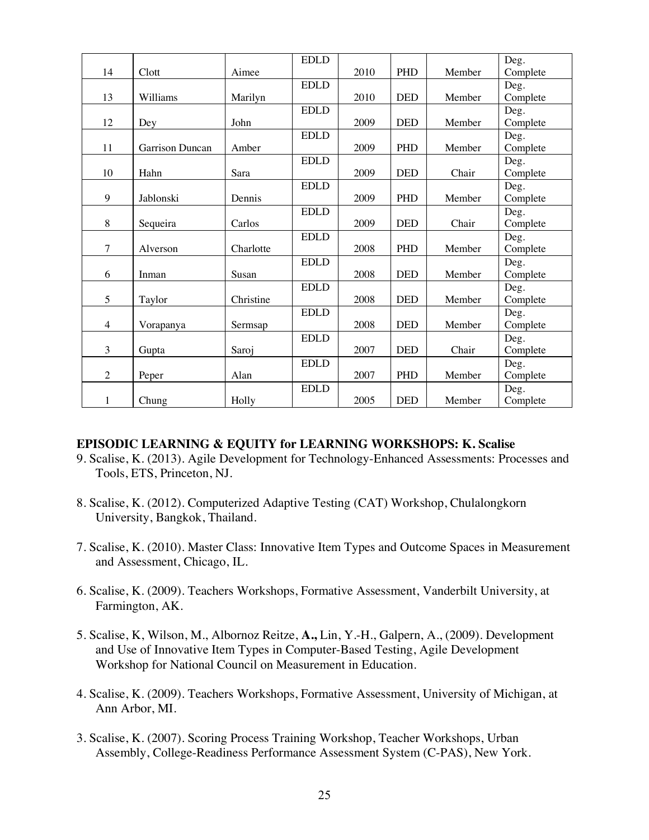|                |                 |           | <b>EDLD</b> |      |            |        | Deg.     |
|----------------|-----------------|-----------|-------------|------|------------|--------|----------|
| 14             | Clott           | Aimee     |             | 2010 | <b>PHD</b> | Member | Complete |
|                |                 |           | <b>EDLD</b> |      |            |        | Deg.     |
| 13             | Williams        | Marilyn   |             | 2010 | <b>DED</b> | Member | Complete |
|                |                 |           | <b>EDLD</b> |      |            |        | Deg.     |
| 12             | Dey             | John      |             | 2009 | <b>DED</b> | Member | Complete |
|                |                 |           | <b>EDLD</b> |      |            |        | Deg.     |
| 11             | Garrison Duncan | Amber     |             | 2009 | PHD        | Member | Complete |
|                |                 |           | <b>EDLD</b> |      |            |        | Deg.     |
| 10             | Hahn            | Sara      |             | 2009 | <b>DED</b> | Chair  | Complete |
|                |                 |           | <b>EDLD</b> |      |            |        | Deg.     |
| 9              | Jablonski       | Dennis    |             | 2009 | PHD        | Member | Complete |
|                |                 |           | <b>EDLD</b> |      |            |        | Deg.     |
| 8              | Sequeira        | Carlos    |             | 2009 | <b>DED</b> | Chair  | Complete |
|                |                 |           | <b>EDLD</b> |      |            |        | Deg.     |
| 7              | Alverson        | Charlotte |             | 2008 | PHD        | Member | Complete |
|                |                 |           | <b>EDLD</b> |      |            |        | Deg.     |
| 6              | Inman           | Susan     |             | 2008 | <b>DED</b> | Member | Complete |
|                |                 |           | <b>EDLD</b> |      |            |        | Deg.     |
| 5              | Taylor          | Christine |             | 2008 | <b>DED</b> | Member | Complete |
|                |                 |           | <b>EDLD</b> |      |            |        | Deg.     |
| $\overline{4}$ | Vorapanya       | Sermsap   |             | 2008 | <b>DED</b> | Member | Complete |
|                |                 |           | <b>EDLD</b> |      |            |        | Deg.     |
| 3              | Gupta           | Saroj     |             | 2007 | <b>DED</b> | Chair  | Complete |
|                |                 |           | <b>EDLD</b> |      |            |        | Deg.     |
| $\overline{2}$ | Peper           | Alan      |             | 2007 | PHD        | Member | Complete |
|                |                 |           | <b>EDLD</b> |      |            |        | Deg.     |
| 1              | Chung           | Holly     |             | 2005 | <b>DED</b> | Member | Complete |

#### **EPISODIC LEARNING & EQUITY for LEARNING WORKSHOPS: K. Scalise**

- 9. Scalise, K. (2013). Agile Development for Technology-Enhanced Assessments: Processes and Tools, ETS, Princeton, NJ.
- 8. Scalise, K. (2012). Computerized Adaptive Testing (CAT) Workshop, Chulalongkorn University, Bangkok, Thailand.
- 7. Scalise, K. (2010). Master Class: Innovative Item Types and Outcome Spaces in Measurement and Assessment, Chicago, IL.
- 6. Scalise, K. (2009). Teachers Workshops, Formative Assessment, Vanderbilt University, at Farmington, AK.
- 5. Scalise, K, Wilson, M., Albornoz Reitze, **A.,** Lin, Y.-H., Galpern, A., (2009). Development and Use of Innovative Item Types in Computer-Based Testing, Agile Development Workshop for National Council on Measurement in Education.
- 4. Scalise, K. (2009). Teachers Workshops, Formative Assessment, University of Michigan, at Ann Arbor, MI.
- 3. Scalise, K. (2007). Scoring Process Training Workshop, Teacher Workshops, Urban Assembly, College-Readiness Performance Assessment System (C-PAS), New York.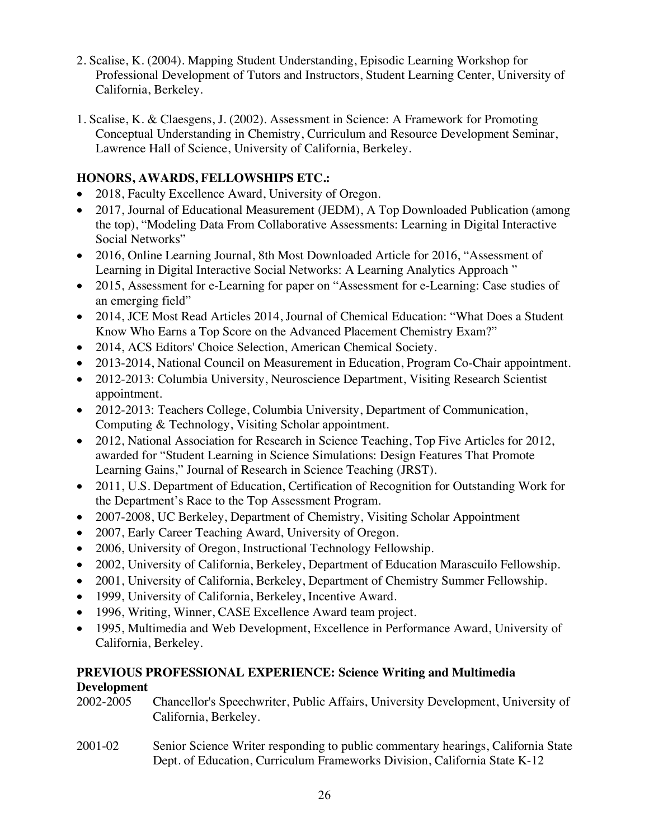- 2. Scalise, K. (2004). Mapping Student Understanding, Episodic Learning Workshop for Professional Development of Tutors and Instructors, Student Learning Center, University of California, Berkeley.
- 1. Scalise, K. & Claesgens, J. (2002). Assessment in Science: A Framework for Promoting Conceptual Understanding in Chemistry, Curriculum and Resource Development Seminar, Lawrence Hall of Science, University of California, Berkeley.

# **HONORS, AWARDS, FELLOWSHIPS ETC.:**

- 2018, Faculty Excellence Award, University of Oregon.
- 2017, Journal of Educational Measurement (JEDM), A Top Downloaded Publication (among the top), "Modeling Data From Collaborative Assessments: Learning in Digital Interactive Social Networks"
- 2016, Online Learning Journal, 8th Most Downloaded Article for 2016, "Assessment of Learning in Digital Interactive Social Networks: A Learning Analytics Approach "
- 2015, Assessment for e-Learning for paper on "Assessment for e-Learning: Case studies of an emerging field"
- 2014, JCE Most Read Articles 2014, Journal of Chemical Education: "What Does a Student" Know Who Earns a Top Score on the Advanced Placement Chemistry Exam?"
- 2014, ACS Editors' Choice Selection, American Chemical Society.
- 2013-2014, National Council on Measurement in Education, Program Co-Chair appointment.
- 2012-2013: Columbia University, Neuroscience Department, Visiting Research Scientist appointment.
- 2012-2013: Teachers College, Columbia University, Department of Communication, Computing & Technology, Visiting Scholar appointment.
- 2012, National Association for Research in Science Teaching, Top Five Articles for 2012, awarded for "Student Learning in Science Simulations: Design Features That Promote Learning Gains," Journal of Research in Science Teaching (JRST).
- 2011, U.S. Department of Education, Certification of Recognition for Outstanding Work for the Department's Race to the Top Assessment Program.
- 2007-2008, UC Berkeley, Department of Chemistry, Visiting Scholar Appointment
- 2007, Early Career Teaching Award, University of Oregon.
- 2006, University of Oregon, Instructional Technology Fellowship.
- 2002, University of California, Berkeley, Department of Education Marascuilo Fellowship.
- 2001, University of California, Berkeley, Department of Chemistry Summer Fellowship.
- 1999, University of California, Berkeley, Incentive Award.
- 1996, Writing, Winner, CASE Excellence Award team project.
- 1995, Multimedia and Web Development, Excellence in Performance Award, University of California, Berkeley.

## **PREVIOUS PROFESSIONAL EXPERIENCE: Science Writing and Multimedia Development**

- 2002-2005 Chancellor's Speechwriter, Public Affairs, University Development, University of California, Berkeley.
- 2001-02 Senior Science Writer responding to public commentary hearings, California State Dept. of Education, Curriculum Frameworks Division, California State K-12